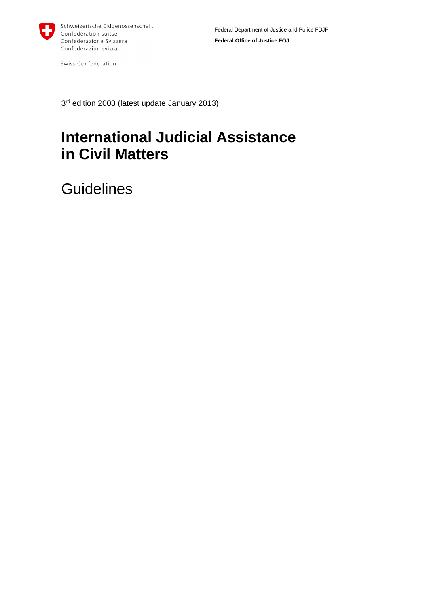

Swiss Confederation

3 rd edition 2003 (latest update January 2013)

# **International Judicial Assistance in Civil Matters**

**Guidelines**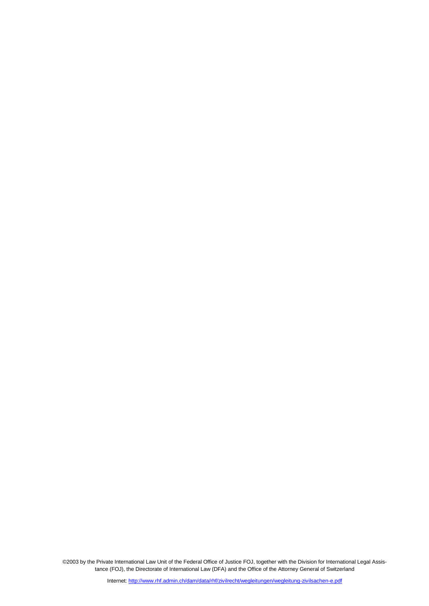©2003 by the Private International Law Unit of the Federal Office of Justice FOJ, together with the Division for International Legal Assistance (FOJ), the Directorate of International Law (DFA) and the Office of the Attorney General of Switzerland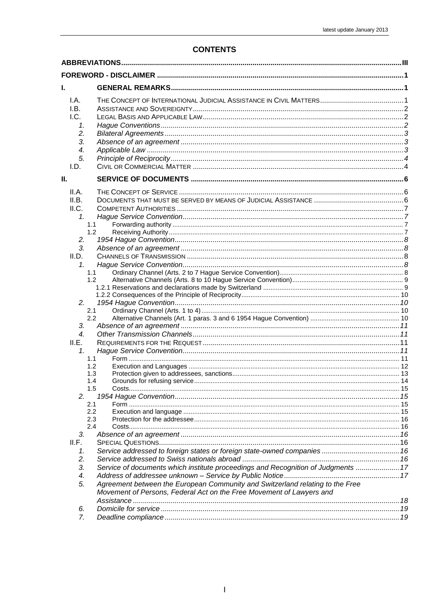#### **CONTENTS**

| I.A.<br>I.B.<br>l.C.<br>1.<br>2.<br>3.<br>4.      |                                                                                                                                                                                                                                            |  |  |
|---------------------------------------------------|--------------------------------------------------------------------------------------------------------------------------------------------------------------------------------------------------------------------------------------------|--|--|
| 5.                                                |                                                                                                                                                                                                                                            |  |  |
| I.D.                                              |                                                                                                                                                                                                                                            |  |  |
| Ш.                                                |                                                                                                                                                                                                                                            |  |  |
| II.A.<br>II.B.<br>II.C.<br>1.                     | 1.1                                                                                                                                                                                                                                        |  |  |
| 2.<br>3.                                          | 1.2                                                                                                                                                                                                                                        |  |  |
| II.D.<br>$\mathcal{I}$ .                          | 1.1<br>1.2 <sub>2</sub>                                                                                                                                                                                                                    |  |  |
| 2.                                                | 2.1<br>2.2                                                                                                                                                                                                                                 |  |  |
| 3.<br>$\overline{4}$ .<br>II.E.<br>1 <sub>1</sub> |                                                                                                                                                                                                                                            |  |  |
|                                                   | 1.1<br>1.2<br>1.3<br>1.4<br>1.5                                                                                                                                                                                                            |  |  |
| 2.                                                | 2.1<br>2.2<br>2.3<br>2.4                                                                                                                                                                                                                   |  |  |
| 3.<br>II.F.<br>1.<br>2.                           |                                                                                                                                                                                                                                            |  |  |
| 3.<br>4.<br>5.                                    | Service of documents which institute proceedings and Recognition of Judgments  17<br>Agreement between the European Community and Switzerland relating to the Free<br>Movement of Persons, Federal Act on the Free Movement of Lawyers and |  |  |
| 6.<br>7.                                          |                                                                                                                                                                                                                                            |  |  |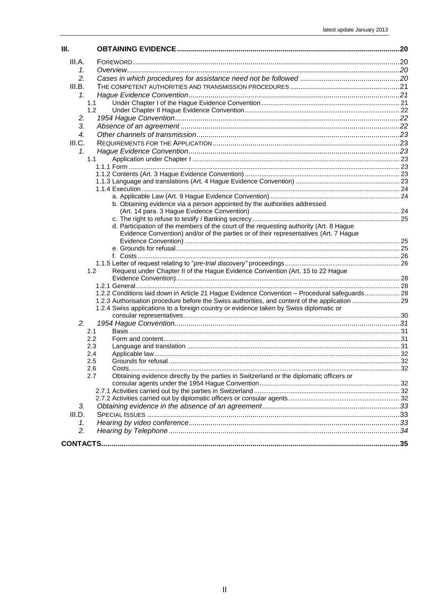| III.   |                                                                                                |  |
|--------|------------------------------------------------------------------------------------------------|--|
| III.A. |                                                                                                |  |
| 1.     |                                                                                                |  |
| 2.     |                                                                                                |  |
| III.B. |                                                                                                |  |
| 1.     |                                                                                                |  |
|        | 1.1                                                                                            |  |
|        | 1.2                                                                                            |  |
| 2.     |                                                                                                |  |
| 3.     |                                                                                                |  |
| 4.     |                                                                                                |  |
| III.C. |                                                                                                |  |
| 1.     |                                                                                                |  |
|        | 1.1                                                                                            |  |
|        |                                                                                                |  |
|        |                                                                                                |  |
|        |                                                                                                |  |
|        |                                                                                                |  |
|        | b. Obtaining evidence via a person appointed by the authorities addressed                      |  |
|        |                                                                                                |  |
|        |                                                                                                |  |
|        | d. Participation of the members of the court of the requesting authority (Art. 8 Hague         |  |
|        | Evidence Convention) and/or of the parties or of their representatives (Art. 7 Hague           |  |
|        |                                                                                                |  |
|        |                                                                                                |  |
|        |                                                                                                |  |
|        | 1.2<br>Request under Chapter II of the Hague Evidence Convention (Art. 15 to 22 Hague          |  |
|        |                                                                                                |  |
|        |                                                                                                |  |
|        | 1.2.2 Conditions laid down in Article 21 Hague Evidence Convention - Procedural safeguards 28  |  |
|        | 1.2.3 Authorisation procedure before the Swiss authorities, and content of the application  29 |  |
|        | 1.2.4 Swiss applications to a foreign country or evidence taken by Swiss diplomatic or         |  |
|        |                                                                                                |  |
| 2.     | 2.1                                                                                            |  |
|        | 2.2                                                                                            |  |
|        | 2.3                                                                                            |  |
|        | 2.4                                                                                            |  |
|        | 2.5                                                                                            |  |
|        | 2.6                                                                                            |  |
|        | Obtaining evidence directly by the parties in Switzerland or the diplomatic officers or<br>2.7 |  |
|        |                                                                                                |  |
|        |                                                                                                |  |
|        |                                                                                                |  |
| 3.     |                                                                                                |  |
| III.D. |                                                                                                |  |
| 1.     |                                                                                                |  |
| 2.     |                                                                                                |  |
|        |                                                                                                |  |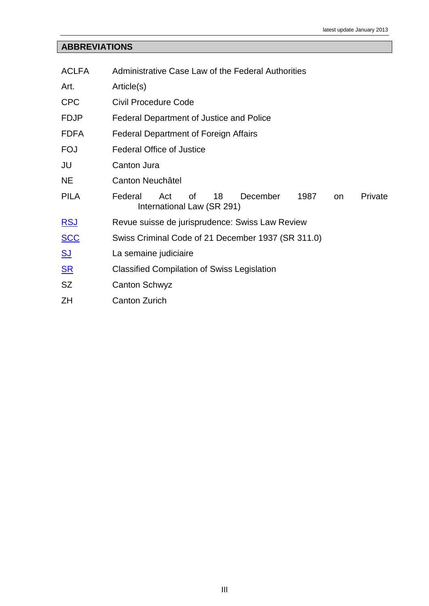# <span id="page-4-0"></span>**ABBREVIATIONS**

| <b>ACLFA</b>   | Administrative Case Law of the Federal Authorities                                                   |
|----------------|------------------------------------------------------------------------------------------------------|
| Art.           | Article(s)                                                                                           |
| <b>CPC</b>     | <b>Civil Procedure Code</b>                                                                          |
| <b>FDJP</b>    | Federal Department of Justice and Police                                                             |
| <b>FDFA</b>    | <b>Federal Department of Foreign Affairs</b>                                                         |
| <b>FOJ</b>     | <b>Federal Office of Justice</b>                                                                     |
| JU             | Canton Jura                                                                                          |
| <b>NE</b>      | Canton Neuchâtel                                                                                     |
| <b>PILA</b>    | Federal<br>Act<br>18<br>December<br>Private<br>οf<br>1987<br><b>on</b><br>International Law (SR 291) |
| <u>RSJ</u>     | Revue suisse de jurisprudence: Swiss Law Review                                                      |
| <u>SCC</u>     | Swiss Criminal Code of 21 December 1937 (SR 311.0)                                                   |
| <u>SJ</u>      | La semaine judiciaire                                                                                |
| S <sub>R</sub> | <b>Classified Compilation of Swiss Legislation</b>                                                   |
| <b>SZ</b>      | <b>Canton Schwyz</b>                                                                                 |
| ΖH             | <b>Canton Zurich</b>                                                                                 |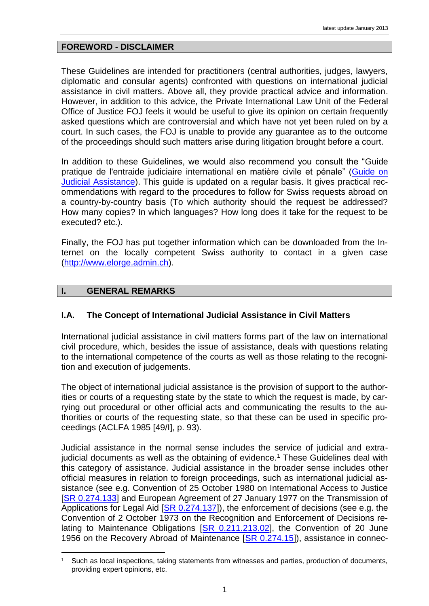## <span id="page-5-0"></span>**FOREWORD - DISCLAIMER**

These Guidelines are intended for practitioners (central authorities, judges, lawyers, diplomatic and consular agents) confronted with questions on international judicial assistance in civil matters. Above all, they provide practical advice and information. However, in addition to this advice, the Private International Law Unit of the Federal Office of Justice FOJ feels it would be useful to give its opinion on certain frequently asked questions which are controversial and which have not yet been ruled on by a court. In such cases, the FOJ is unable to provide any guarantee as to the outcome of the proceedings should such matters arise during litigation brought before a court.

In addition to these Guidelines, we would also recommend you consult the "Guide pratique de l'entraide judiciaire international en matière civile et pénale" [\(Guide on](http://www.rhf.admin.ch/rhf/fr/home/rechtshilfefuehrer.html)  [Judicial Assistance\)](http://www.rhf.admin.ch/rhf/fr/home/rechtshilfefuehrer.html). This guide is updated on a regular basis. It gives practical recommendations with regard to the procedures to follow for Swiss requests abroad on a country-by-country basis (To which authority should the request be addressed? How many copies? In which languages? How long does it take for the request to be executed? etc.).

Finally, the FOJ has put together information which can be downloaded from the Internet on the locally competent Swiss authority to contact in a given case [\(http://www.elorge.admin.ch\)](http://www.elorge.admin.ch/).

# <span id="page-5-1"></span>**I. GENERAL REMARKS**

## <span id="page-5-2"></span>**I.A. The Concept of International Judicial Assistance in Civil Matters**

International judicial assistance in civil matters forms part of the law on international civil procedure, which, besides the issue of assistance, deals with questions relating to the international competence of the courts as well as those relating to the recognition and execution of judgements.

The object of international judicial assistance is the provision of support to the authorities or courts of a requesting state by the state to which the request is made, by carrying out procedural or other official acts and communicating the results to the authorities or courts of the requesting state, so that these can be used in specific proceedings (ACLFA 1985 [49/I], p. 93).

Judicial assistance in the normal sense includes the service of judicial and extrajudicial documents as well as the obtaining of evidence.<sup>1</sup> These Guidelines deal with this category of assistance. Judicial assistance in the broader sense includes other official measures in relation to foreign proceedings, such as international judicial assistance (see e.g. Convention of 25 October 1980 on International Access to Justice [SR [0.274.133\]](http://www.rhf.admin.ch/rhf/fr/home/zivilrecht/rechtsgrundlagen/sr-0-274-133.html) and European Agreement of 27 January 1977 on the Transmission of Applications for Legal Aid [SR [0.274.137\]](http://www.rhf.admin.ch/rhf/fr/home/zivilrecht/rechtsgrundlagen/sr-0-274-137.html)), the enforcement of decisions (see e.g. the Convention of 2 October 1973 on the Recognition and Enforcement of Decisions relating to Maintenance Obligations  $[SR 0.211.213.02]$ , the Convention of 20 June 1956 on the Recovery Abroad of Maintenance [\[SR 0.274.15\]](http://www.rhf.admin.ch/rhf/fr/home/zivilrecht/rechtsgrundlagen/sr-0-274-15.html)), assistance in connec-

<sup>&</sup>lt;u>.</u> Such as local inspections, taking statements from witnesses and parties, production of documents, providing expert opinions, etc.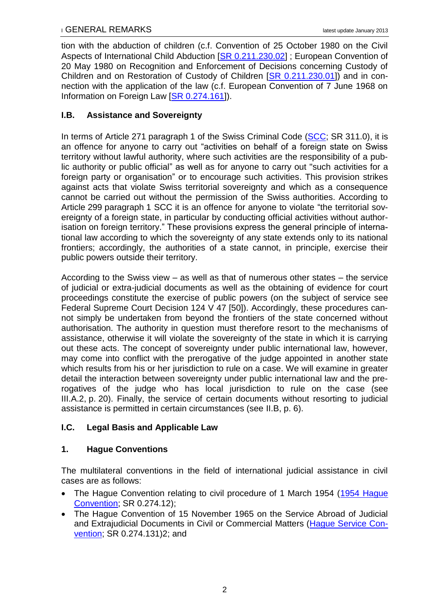tion with the abduction of children (c.f. Convention of 25 October 1980 on the Civil Aspects of International Child Abduction [\[SR 0.211.230.02\]](http://www.rhf.admin.ch/rhf/fr/home/zivilrecht/rechtsgrundlagen/sr-0-211-230-02.html) ; European Convention of 20 May 1980 on Recognition and Enforcement of Decisions concerning Custody of Children and on Restoration of Custody of Children [\[SR 0.211.230.01\]](http://www.rhf.admin.ch/rhf/fr/home/zivilrecht/rechtsgrundlagen/sr-0-211-230-01.html)) and in connection with the application of the law (c.f. European Convention of 7 June 1968 on Information on Foreign Law [\[SR 0.274.161\]](http://www.rhf.admin.ch/rhf/fr/home/zivilrecht/rechtsgrundlagen/sr-0-274-161.html)).

# <span id="page-6-0"></span>**I.B. Assistance and Sovereignty**

In terms of Article 271 paragraph 1 of the Swiss Criminal Code [\(SCC;](http://www.rhf.admin.ch/rhf/fr/home/strafrecht/rechtsgrundlagen/national/sr-311-0.html) SR 311.0), it is an offence for anyone to carry out "activities on behalf of a foreign state on Swiss territory without lawful authority, where such activities are the responsibility of a public authority or public official" as well as for anyone to carry out "such activities for a foreign party or organisation" or to encourage such activities. This provision strikes against acts that violate Swiss territorial sovereignty and which as a consequence cannot be carried out without the permission of the Swiss authorities. According to Article 299 paragraph 1 SCC it is an offence for anyone to violate "the territorial sovereignty of a foreign state, in particular by conducting official activities without authorisation on foreign territory." These provisions express the general principle of international law according to which the sovereignty of any state extends only to its national frontiers; accordingly, the authorities of a state cannot, in principle, exercise their public powers outside their territory.

According to the Swiss view – as well as that of numerous other states – the service of judicial or extra-judicial documents as well as the obtaining of evidence for court proceedings constitute the exercise of public powers (on the subject of service see Federal Supreme Court Decision 124 V 47 [50]). Accordingly, these procedures cannot simply be undertaken from beyond the frontiers of the state concerned without authorisation. The authority in question must therefore resort to the mechanisms of assistance, otherwise it will violate the sovereignty of the state in which it is carrying out these acts. The concept of sovereignty under public international law, however, may come into conflict with the prerogative of the judge appointed in another state which results from his or her jurisdiction to rule on a case. We will examine in greater detail the interaction between sovereignty under public international law and the prerogatives of the judge who has local jurisdiction to rule on the case (see [III.A.2,](#page-24-3) p. [20\)](#page-24-3). Finally, the service of certain documents without resorting to judicial assistance is permitted in certain circumstances (see [II.B,](#page-10-2) p. [6\)](#page-10-2).

# <span id="page-6-1"></span>**I.C. Legal Basis and Applicable Law**

# <span id="page-6-2"></span>**1. Hague Conventions**

The multilateral conventions in the field of international judicial assistance in civil cases are as follows:

- The Hague Convention relating to civil procedure of 1 March 1954 [\(1954 Hague](http://www.rhf.admin.ch/rhf/fr/home/zivilrecht/rechtsgrundlagen/sr-0-274-12.html)  [Convention;](http://www.rhf.admin.ch/rhf/fr/home/zivilrecht/rechtsgrundlagen/sr-0-274-12.html) SR 0.274.12);
- The Hague Convention of 15 November 1965 on the Service Abroad of Judicial and Extrajudicial Documents in Civil or Commercial Matters [\(Hague Service Con](http://www.rhf.admin.ch/rhf/fr/home/zivilrecht/rechtsgrundlagen/sr-0-274-131.html)[vention;](http://www.rhf.admin.ch/rhf/fr/home/zivilrecht/rechtsgrundlagen/sr-0-274-131.html) SR 0.274.131[\)2;](#page-7-3) and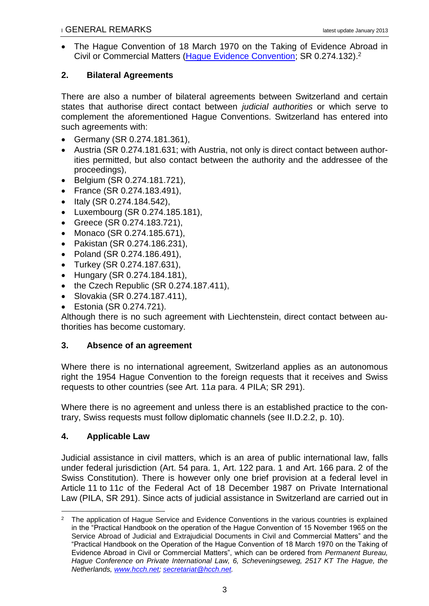<span id="page-7-4"></span><span id="page-7-3"></span> The Hague Convention of 18 March 1970 on the Taking of Evidence Abroad in Civil or Commercial Matters [\(Hague Evidence Convention;](http://www.rhf.admin.ch/rhf/fr/home/zivilrecht/rechtsgrundlagen/sr-0-274-132.html) SR 0.274.132).<sup>2</sup>

# <span id="page-7-0"></span>**2. Bilateral Agreements**

There are also a number of bilateral agreements between Switzerland and certain states that authorise direct contact between *judicial authorities* or which serve to complement the aforementioned Hague Conventions. Switzerland has entered into such agreements with:

- Germany (SR 0.274.181.361),
- Austria (SR 0.274.181.631; with Austria, not only is direct contact between authorities permitted, but also contact between the authority and the addressee of the proceedings),
- Belgium (SR 0.274.181.721),
- France (SR 0.274.183.491),
- Italy (SR 0.274.184.542),
- Luxembourg (SR 0.274.185.181),
- Greece (SR 0.274.183.721),
- Monaco (SR 0.274.185.671),
- Pakistan (SR 0.274.186.231),
- Poland (SR 0.274.186.491),
- Turkey (SR 0.274.187.631),
- Hungary (SR 0.274.184.181),
- $\bullet$  the Czech Republic (SR 0.274.187.411),
- Slovakia (SR 0.274.187.411),
- Estonia (SR 0.274.721).

Although there is no such agreement with Liechtenstein, direct contact between authorities has become customary.

# <span id="page-7-1"></span>**3. Absence of an agreement**

Where there is no international agreement, Switzerland applies as an autonomous right the 1954 Hague Convention to the foreign requests that it receives and Swiss requests to other countries (see Art. 11*a* para. 4 PILA; SR 291).

Where there is no agreement and unless there is an established practice to the contrary, Swiss requests must follow diplomatic channels (see [II.D.2.2,](#page-14-3) p. [10\)](#page-14-3).

# <span id="page-7-2"></span>**4. Applicable Law**

Judicial assistance in civil matters, which is an area of public international law, falls under federal jurisdiction (Art. 54 para. 1, Art. 122 para. 1 and Art. 166 para. 2 of the Swiss Constitution). There is however only one brief provision at a federal level in Article 11 to 11*c* of the Federal Act of 18 December 1987 on Private International Law (PILA, SR 291). Since acts of judicial assistance in Switzerland are carried out in

<sup>&</sup>lt;u>.</u> <sup>2</sup> The application of Hague Service and Evidence Conventions in the various countries is explained in the "Practical Handbook on the operation of the Hague Convention of 15 November 1965 on the Service Abroad of Judicial and Extrajudicial Documents in Civil and Commercial Matters" and the "Practical Handbook on the Operation of the Hague Convention of 18 March 1970 on the Taking of Evidence Abroad in Civil or Commercial Matters", which can be ordered from *Permanent Bureau, Hague Conference on Private International Law, 6, Scheveningseweg, 2517 KT The Hague, the Netherlands, [www.hcch.net;](http://www.hcch.net/) [secretariat@hcch.net.](mailto:secretariat@hcch.net)*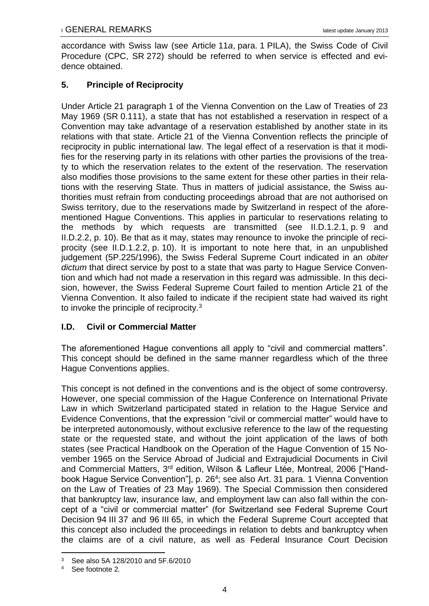accordance with Swiss law (see Article 11*a*, para. 1 PILA), the Swiss Code of Civil Procedure (CPC, SR 272) should be referred to when service is effected and evidence obtained.

# <span id="page-8-0"></span>**5. Principle of Reciprocity**

Under Article 21 paragraph 1 of the Vienna Convention on the Law of Treaties of 23 May 1969 (SR 0.111), a state that has not established a reservation in respect of a Convention may take advantage of a reservation established by another state in its relations with that state. Article 21 of the Vienna Convention reflects the principle of reciprocity in public international law. The legal effect of a reservation is that it modifies for the reserving party in its relations with other parties the provisions of the treaty to which the reservation relates to the extent of the reservation. The reservation also modifies those provisions to the same extent for these other parties in their relations with the reserving State. Thus in matters of judicial assistance, the Swiss authorities must refrain from conducting proceedings abroad that are not authorised on Swiss territory, due to the reservations made by Switzerland in respect of the aforementioned Hague Conventions. This applies in particular to reservations relating to the methods by which requests are transmitted (see [II.D.1.2.1,](#page-13-1) p. [9](#page-13-1) and [II.D.2.2,](#page-14-3) p. [10\)](#page-14-3). Be that as it may, states may renounce to invoke the principle of reciprocity (see [II.D.1.2.2,](#page-14-0) p. [10\)](#page-14-0). It is important to note here that, in an unpublished judgement (5P.225/1996), the Swiss Federal Supreme Court indicated in an *obiter dictum* that direct service by post to a state that was party to Hague Service Convention and which had not made a reservation in this regard was admissible. In this decision, however, the Swiss Federal Supreme Court failed to mention Article 21 of the Vienna Convention. It also failed to indicate if the recipient state had waived its right to invoke the principle of reciprocity.<sup>3</sup>

# <span id="page-8-1"></span>**I.D. Civil or Commercial Matter**

The aforementioned Hague conventions all apply to "civil and commercial matters". This concept should be defined in the same manner regardless which of the three Hague Conventions applies.

This concept is not defined in the conventions and is the object of some controversy. However, one special commission of the Hague Conference on International Private Law in which Switzerland participated stated in relation to the Hague Service and Evidence Conventions, that the expression "civil or commercial matter" would have to be interpreted autonomously, without exclusive reference to the law of the requesting state or the requested state, and without the joint application of the laws of both states (see Practical Handbook on the Operation of the Hague Convention of 15 November 1965 on the Service Abroad of Judicial and Extrajudicial Documents in Civil and Commercial Matters, 3<sup>rd</sup> edition, Wilson & Lafleur Ltée, Montreal, 2006 ["Handbook Hague Service Convention"], p. 26<sup>4</sup>; see also Art. 31 para. 1 Vienna Convention on the Law of Treaties of 23 May 1969). The Special Commission then considered that bankruptcy law, insurance law, and employment law can also fall within the concept of a "civil or commercial matter" (for Switzerland see Federal Supreme Court Decision 94 III 37 and 96 III 65, in which the Federal Supreme Court accepted that this concept also included the proceedings in relation to debts and bankruptcy when the claims are of a civil nature, as well as Federal Insurance Court Decision

<sup>&</sup>lt;u>.</u> <sup>3</sup> See also 5A 128/2010 and 5F.6/2010

<sup>4</sup> See footnote [2](#page-7-4)*.*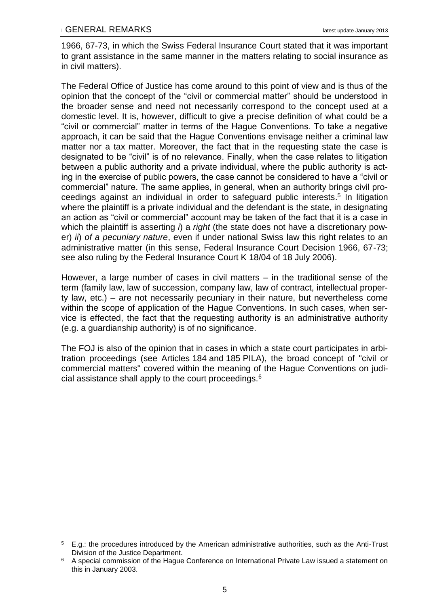1

1966, 67-73, in which the Swiss Federal Insurance Court stated that it was important to grant assistance in the same manner in the matters relating to social insurance as in civil matters).

The Federal Office of Justice has come around to this point of view and is thus of the opinion that the concept of the "civil or commercial matter" should be understood in the broader sense and need not necessarily correspond to the concept used at a domestic level. It is, however, difficult to give a precise definition of what could be a "civil or commercial" matter in terms of the Hague Conventions. To take a negative approach, it can be said that the Hague Conventions envisage neither a criminal law matter nor a tax matter. Moreover, the fact that in the requesting state the case is designated to be "civil" is of no relevance. Finally, when the case relates to litigation between a public authority and a private individual, where the public authority is acting in the exercise of public powers, the case cannot be considered to have a "civil or commercial" nature. The same applies, in general, when an authority brings civil proceedings against an individual in order to safeguard public interests. 5 In litigation where the plaintiff is a private individual and the defendant is the state, in designating an action as "civil or commercial" account may be taken of the fact that it is a case in which the plaintiff is asserting *i*) a *right* (the state does not have a discretionary power) *ii*) *of a pecuniary nature*, even if under national Swiss law this right relates to an administrative matter (in this sense, Federal Insurance Court Decision 1966, 67-73; see also ruling by the Federal Insurance Court K 18/04 of 18 July 2006).

However, a large number of cases in civil matters – in the traditional sense of the term (family law, law of succession, company law, law of contract, intellectual property law, etc.) – are not necessarily pecuniary in their nature, but nevertheless come within the scope of application of the Hague Conventions. In such cases, when service is effected, the fact that the requesting authority is an administrative authority (e.g. a guardianship authority) is of no significance.

The FOJ is also of the opinion that in cases in which a state court participates in arbitration proceedings (see Articles 184 and 185 PILA), the broad concept of "civil or commercial matters" covered within the meaning of the Hague Conventions on judicial assistance shall apply to the court proceedings.<sup>6</sup>

<sup>5</sup> E.g.: the procedures introduced by the American administrative authorities, such as the Anti-Trust Division of the Justice Department.

<sup>&</sup>lt;sup>6</sup> A special commission of the Hague Conference on International Private Law issued a statement on this in January 2003.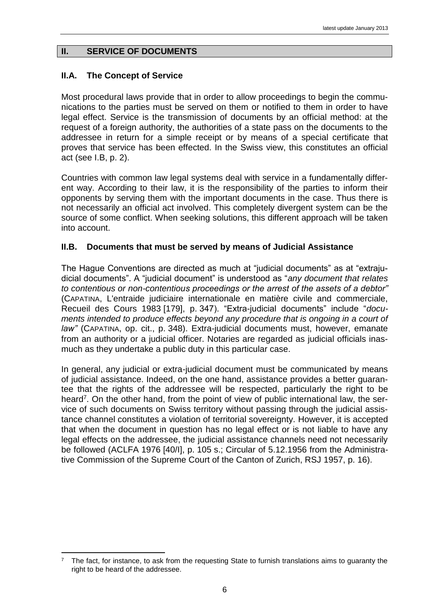# <span id="page-10-0"></span>**II. SERVICE OF DOCUMENTS**

# <span id="page-10-1"></span>**II.A. The Concept of Service**

<u>.</u>

Most procedural laws provide that in order to allow proceedings to begin the communications to the parties must be served on them or notified to them in order to have legal effect. Service is the transmission of documents by an official method: at the request of a foreign authority, the authorities of a state pass on the documents to the addressee in return for a simple receipt or by means of a special certificate that proves that service has been effected. In the Swiss view, this constitutes an official act (see [I.B,](#page-6-0) p. [2\)](#page-6-0).

Countries with common law legal systems deal with service in a fundamentally different way. According to their law, it is the responsibility of the parties to inform their opponents by serving them with the important documents in the case. Thus there is not necessarily an official act involved. This completely divergent system can be the source of some conflict. When seeking solutions, this different approach will be taken into account.

# <span id="page-10-2"></span>**II.B. Documents that must be served by means of Judicial Assistance**

The Hague Conventions are directed as much at "judicial documents" as at "extrajudicial documents". A "judicial document" is understood as "*any document that relates to contentious or non-contentious proceedings or the arrest of the assets of a debtor"* (CAPATINA, L'entraide judiciaire internationale en matière civile and commerciale, Recueil des Cours 1983 [179], p. 347). "Extra-judicial documents" include "*documents intended to produce effects beyond any procedure that is ongoing in a court of law"* (CAPATINA, op. cit., p. 348). Extra-judicial documents must, however, emanate from an authority or a judicial officer. Notaries are regarded as judicial officials inasmuch as they undertake a public duty in this particular case.

In general, any judicial or extra-judicial document must be communicated by means of judicial assistance. Indeed, on the one hand, assistance provides a better guarantee that the rights of the addressee will be respected, particularly the right to be heard<sup>7</sup>. On the other hand, from the point of view of public international law, the service of such documents on Swiss territory without passing through the judicial assistance channel constitutes a violation of territorial sovereignty. However, it is accepted that when the document in question has no legal effect or is not liable to have any legal effects on the addressee, the judicial assistance channels need not necessarily be followed (ACLFA 1976 [40/I], p. 105 s.; Circular of 5.12.1956 from the Administrative Commission of the Supreme Court of the Canton of Zurich, RSJ 1957, p. 16).

<sup>7</sup> The fact, for instance, to ask from the requesting State to furnish translations aims to guaranty the right to be heard of the addressee.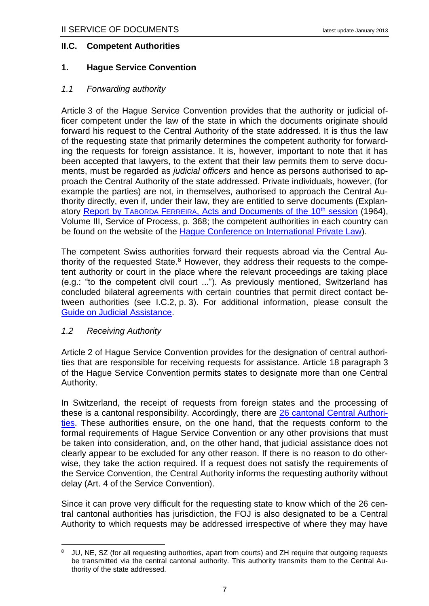#### <span id="page-11-0"></span>**II.C. Competent Authorities**

#### <span id="page-11-1"></span>**1. Hague Service Convention**

#### <span id="page-11-2"></span>*1.1 Forwarding authority*

Article 3 of the Hague Service Convention provides that the authority or judicial officer competent under the law of the state in which the documents originate should forward his request to the Central Authority of the state addressed. It is thus the law of the requesting state that primarily determines the competent authority for forwarding the requests for foreign assistance. It is, however, important to note that it has been accepted that lawyers, to the extent that their law permits them to serve documents, must be regarded as *judicial officers* and hence as persons authorised to approach the Central Authority of the state addressed. Private individuals, however, (for example the parties) are not, in themselves, authorised to approach the Central Authority directly, even if, under their law, they are entitled to serve documents (Explan-atory Report by TABORDA FERREIRA[, Acts and Documents of the 10](http://hcch.e-vision.nl/index_fr.php?act=publications.details&pid=2942&dtid=3)<sup>th</sup> session (1964), Volume III, Service of Process, p. 368; the competent authorities in each country can be found on the website of the [Hague Conference on International Private Law\)](http://www.hcch.net/index_en.php?).

<span id="page-11-4"></span>The competent Swiss authorities forward their requests abroad via the Central Authority of the requested State. $8$  However, they address their requests to the competent authority or court in the place where the relevant proceedings are taking place (e.g.: "to the competent civil court ..."). As previously mentioned, Switzerland has concluded bilateral agreements with certain countries that permit direct contact between authorities (see [I.C.2,](#page-7-0) p. [3\)](#page-7-0). For additional information, please consult the [Guide on Judicial Assistance.](http://www.rhf.admin.ch/rhf/fr/home/rechtshilfefuehrer.html)

#### <span id="page-11-3"></span>*1.2 Receiving Authority*

1

Article 2 of Hague Service Convention provides for the designation of central authorities that are responsible for receiving requests for assistance. Article 18 paragraph 3 of the Hague Service Convention permits states to designate more than one Central Authority.

In Switzerland, the receipt of requests from foreign states and the processing of these is a cantonal responsibility. Accordingly, there are [26 cantonal Central Authori](http://www.rhf.admin.ch/rhf/fr/home/zivilrecht/behoerden/zentralbehoerden.html)[ties.](http://www.rhf.admin.ch/rhf/fr/home/zivilrecht/behoerden/zentralbehoerden.html) These authorities ensure, on the one hand, that the requests conform to the formal requirements of Hague Service Convention or any other provisions that must be taken into consideration, and, on the other hand, that judicial assistance does not clearly appear to be excluded for any other reason. If there is no reason to do otherwise, they take the action required. If a request does not satisfy the requirements of the Service Convention, the Central Authority informs the requesting authority without delay (Art. 4 of the Service Convention).

Since it can prove very difficult for the requesting state to know which of the 26 central cantonal authorities has jurisdiction, the FOJ is also designated to be a Central Authority to which requests may be addressed irrespective of where they may have

<sup>8</sup> JU, NE, SZ (for all requesting authorities, apart from courts) and ZH require that outgoing requests be transmitted via the central cantonal authority. This authority transmits them to the Central Authority of the state addressed.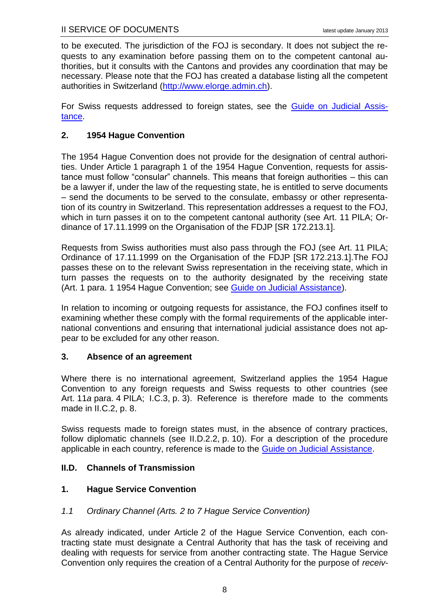to be executed. The jurisdiction of the FOJ is secondary. It does not subject the requests to any examination before passing them on to the competent cantonal authorities, but it consults with the Cantons and provides any coordination that may be necessary. Please note that the FOJ has created a database listing all the competent authorities in Switzerland [\(http://www.elorge.admin.ch\)](http://www.elorge.admin.ch/).

For Swiss requests addressed to foreign states, see the [Guide on Judicial Assis](http://www.rhf.admin.ch/rhf/fr/home/rechtshilfefuehrer.html)[tance.](http://www.rhf.admin.ch/rhf/fr/home/rechtshilfefuehrer.html)

# <span id="page-12-0"></span>**2. 1954 Hague Convention**

The 1954 Hague Convention does not provide for the designation of central authorities. Under Article 1 paragraph 1 of the 1954 Hague Convention, requests for assistance must follow "consular" channels. This means that foreign authorities – this can be a lawyer if, under the law of the requesting state, he is entitled to serve documents – send the documents to be served to the consulate, embassy or other representation of its country in Switzerland. This representation addresses a request to the FOJ, which in turn passes it on to the competent cantonal authority (see Art. 11 PILA; Ordinance of 17.11.1999 on the Organisation of the FDJP [SR 172.213.1].

Requests from Swiss authorities must also pass through the FOJ (see Art. 11 PILA; Ordinance of 17.11.1999 on the Organisation of the FDJP [SR 172.213.1].The FOJ passes these on to the relevant Swiss representation in the receiving state, which in turn passes the requests on to the authority designated by the receiving state (Art. 1 para. 1 1954 Haque Convention; see [Guide on Judicial Assistance\)](http://www.rhf.admin.ch/rhf/fr/home/rechtshilfefuehrer.html).

In relation to incoming or outgoing requests for assistance, the FOJ confines itself to examining whether these comply with the formal requirements of the applicable international conventions and ensuring that international judicial assistance does not appear to be excluded for any other reason.

## <span id="page-12-1"></span>**3. Absence of an agreement**

Where there is no international agreement, Switzerland applies the 1954 Hague Convention to any foreign requests and Swiss requests to other countries (see Art. 11*a* para. 4 PILA; [I.C.3,](#page-7-1) p. [3\)](#page-7-1). Reference is therefore made to the comments made in [II.C.2,](#page-12-0) p. [8.](#page-12-0)

Swiss requests made to foreign states must, in the absence of contrary practices, follow diplomatic channels (see [II.D.2.2,](#page-14-3) p. [10\)](#page-14-3). For a description of the procedure applicable in each country, reference is made to the [Guide on Judicial Assistance.](http://www.rhf.admin.ch/rhf/fr/home/rechtshilfefuehrer.html)

## <span id="page-12-2"></span>**II.D. Channels of Transmission**

# <span id="page-12-3"></span>**1. Hague Service Convention**

## <span id="page-12-4"></span>*1.1 Ordinary Channel (Arts. 2 to 7 Hague Service Convention)*

As already indicated, under Article 2 of the Hague Service Convention, each contracting state must designate a Central Authority that has the task of receiving and dealing with requests for service from another contracting state. The Hague Service Convention only requires the creation of a Central Authority for the purpose of *receiv-*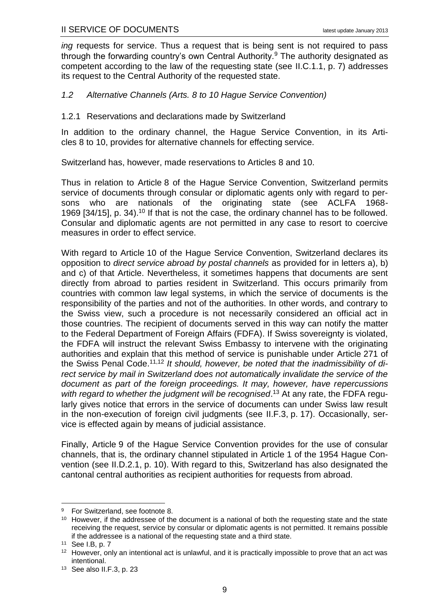*ing* requests for service. Thus a request that is being sent is not required to pass through the forwarding country's own Central Authority.<sup>9</sup> The authority designated as competent according to the law of the requesting state (see [II.C.1.1,](#page-11-2) p. [7\)](#page-11-2) addresses its request to the Central Authority of the requested state.

#### <span id="page-13-0"></span>*1.2 Alternative Channels (Arts. 8 to 10 Hague Service Convention)*

#### <span id="page-13-1"></span>1.2.1 Reservations and declarations made by Switzerland

In addition to the ordinary channel, the Hague Service Convention, in its Articles 8 to 10, provides for alternative channels for effecting service.

Switzerland has, however, made reservations to Articles 8 and 10.

<span id="page-13-2"></span>Thus in relation to Article 8 of the Hague Service Convention, Switzerland permits service of documents through consular or diplomatic agents only with regard to persons who are nationals of the originating state (see ACLFA 1968- 1969 [34/15], p. 34).<sup>10</sup> If that is not the case, the ordinary channel has to be followed. Consular and diplomatic agents are not permitted in any case to resort to coercive measures in order to effect service.

With regard to Article 10 of the Hague Service Convention, Switzerland declares its opposition to *direct service abroad by postal channels* as provided for in letters a), b) and c) of that Article. Nevertheless, it sometimes happens that documents are sent directly from abroad to parties resident in Switzerland. This occurs primarily from countries with common law legal systems, in which the service of documents is the responsibility of the parties and not of the authorities. In other words, and contrary to the Swiss view, such a procedure is not necessarily considered an official act in those countries. The recipient of documents served in this way can notify the matter to the Federal Department of Foreign Affairs (FDFA). If Swiss sovereignty is violated, the FDFA will instruct the relevant Swiss Embassy to intervene with the originating authorities and explain that this method of service is punishable under Article 271 of the Swiss Penal Code.11,12 *It should, however, be noted that the inadmissibility of direct service by mail in Switzerland does not automatically invalidate the service of the document as part of the foreign proceedings. It may, however, have repercussions*  with regard to whether the judgment will be recognised.<sup>13</sup> At any rate, the FDFA regularly gives notice that errors in the service of documents can under Swiss law result in the non-execution of foreign civil judgments (see [II.F.3,](#page-21-0) p. [17\)](#page-21-0). Occasionally, service is effected again by means of judicial assistance.

Finally, Article 9 of the Hague Service Convention provides for the use of consular channels, that is, the ordinary channel stipulated in Article 1 of the 1954 Hague Convention (see [II.D.2.1,](#page-14-2) p. [10\)](#page-14-2). With regard to this, Switzerland has also designated the cantonal central authorities as recipient authorities for requests from abroad.

<u>.</u>

<sup>9</sup> For Switzerland, see footnote [8.](#page-11-4)

<sup>&</sup>lt;sup>10</sup> However, if the addressee of the document is a national of both the requesting state and the state receiving the request, service by consular or diplomatic agents is not permitted. It remains possible if the addressee is a national of the requesting state and a third state.

<sup>11</sup> See [I.B,](#page-6-0) p. [7](#page-6-0)

<sup>&</sup>lt;sup>12</sup> However, only an intentional act is unlawful, and it is practically impossible to prove that an act was intentional.

<sup>13</sup> See also [II.F.3,](#page-21-0) p. [23](#page-21-0)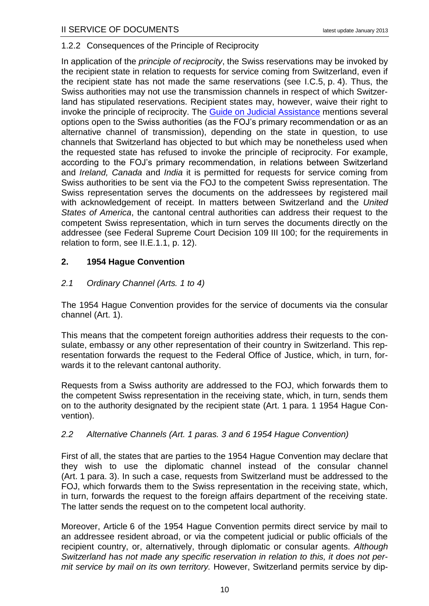## <span id="page-14-0"></span>1.2.2 Consequences of the Principle of Reciprocity

In application of the *principle of reciprocity*, the Swiss reservations may be invoked by the recipient state in relation to requests for service coming from Switzerland, even if the recipient state has not made the same reservations (see [I.C.5,](#page-8-0) p. [4\)](#page-8-0). Thus, the Swiss authorities may not use the transmission channels in respect of which Switzerland has stipulated reservations. Recipient states may, however, waive their right to invoke the principle of reciprocity. The [Guide on Judicial Assistance](http://www.rhf.admin.ch/rhf/fr/home/rechtshilfefuehrer.html) mentions several options open to the Swiss authorities (as the FOJ's primary recommendation or as an alternative channel of transmission), depending on the state in question, to use channels that Switzerland has objected to but which may be nonetheless used when the requested state has refused to invoke the principle of reciprocity. For example, according to the FOJ's primary recommendation, in relations between Switzerland and *Ireland, Canada* and *India* it is permitted for requests for service coming from Swiss authorities to be sent via the FOJ to the competent Swiss representation. The Swiss representation serves the documents on the addressees by registered mail with acknowledgement of receipt. In matters between Switzerland and the *United States of America*, the cantonal central authorities can address their request to the competent Swiss representation, which in turn serves the documents directly on the addressee (see Federal Supreme Court Decision 109 III 100; for the requirements in relation to form, see [II.E.1.1,](#page-15-4) p. [12\)](#page-16-1).

## <span id="page-14-1"></span>**2. 1954 Hague Convention**

# <span id="page-14-2"></span>*2.1 Ordinary Channel (Arts. 1 to 4)*

The 1954 Hague Convention provides for the service of documents via the consular channel (Art. 1).

This means that the competent foreign authorities address their requests to the consulate, embassy or any other representation of their country in Switzerland. This representation forwards the request to the Federal Office of Justice, which, in turn, forwards it to the relevant cantonal authority.

Requests from a Swiss authority are addressed to the FOJ, which forwards them to the competent Swiss representation in the receiving state, which, in turn, sends them on to the authority designated by the recipient state (Art. 1 para. 1 1954 Hague Convention).

## <span id="page-14-3"></span>*2.2 Alternative Channels (Art. 1 paras. 3 and 6 1954 Hague Convention)*

First of all, the states that are parties to the 1954 Hague Convention may declare that they wish to use the diplomatic channel instead of the consular channel (Art. 1 para. 3). In such a case, requests from Switzerland must be addressed to the FOJ, which forwards them to the Swiss representation in the receiving state, which, in turn, forwards the request to the foreign affairs department of the receiving state. The latter sends the request on to the competent local authority.

Moreover, Article 6 of the 1954 Hague Convention permits direct service by mail to an addressee resident abroad, or via the competent judicial or public officials of the recipient country, or, alternatively, through diplomatic or consular agents. *Although Switzerland has not made any specific reservation in relation to this, it does not permit service by mail on its own territory.* However, Switzerland permits service by dip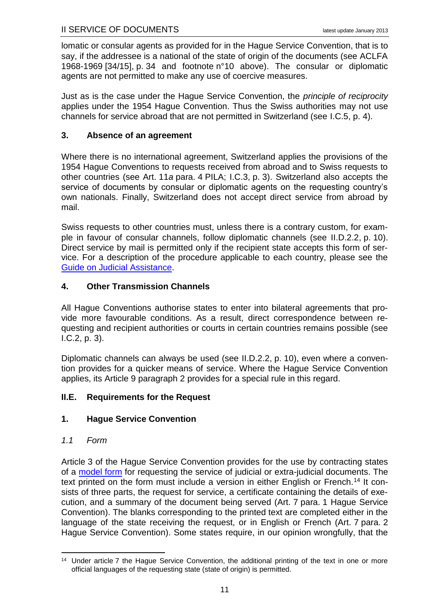lomatic or consular agents as provided for in the Hague Service Convention, that is to say, if the addressee is a national of the state of origin of the documents (see ACLFA 1968-1969 [34/15], p. 34 and footnote n[°10](#page-13-2) above). The consular or diplomatic agents are not permitted to make any use of coercive measures.

Just as is the case under the Hague Service Convention, the *principle of reciprocity* applies under the 1954 Hague Convention. Thus the Swiss authorities may not use channels for service abroad that are not permitted in Switzerland (see [I.C.5,](#page-8-0) p. [4\)](#page-8-0).

# <span id="page-15-0"></span>**3. Absence of an agreement**

Where there is no international agreement, Switzerland applies the provisions of the 1954 Hague Conventions to requests received from abroad and to Swiss requests to other countries (see Art. 11*a* para. 4 PILA; [I.C.3,](#page-7-1) p. [3\)](#page-7-1). Switzerland also accepts the service of documents by consular or diplomatic agents on the requesting country's own nationals. Finally, Switzerland does not accept direct service from abroad by mail.

Swiss requests to other countries must, unless there is a contrary custom, for example in favour of consular channels, follow diplomatic channels (see [II.D.2.2,](#page-14-3) p. [10\)](#page-14-3). Direct service by mail is permitted only if the recipient state accepts this form of service. For a description of the procedure applicable to each country, please see the [Guide on Judicial Assistance.](http://www.rhf.admin.ch/rhf/fr/home/rechtshilfefuehrer.html)

# <span id="page-15-1"></span>**4. Other Transmission Channels**

All Hague Conventions authorise states to enter into bilateral agreements that provide more favourable conditions. As a result, direct correspondence between requesting and recipient authorities or courts in certain countries remains possible (see [I.C.2,](#page-7-0) p. [3\)](#page-7-0).

Diplomatic channels can always be used (see [II.D.2.2,](#page-14-3) p. [10\)](#page-14-3), even where a convention provides for a quicker means of service. Where the Hague Service Convention applies, its Article 9 paragraph 2 provides for a special rule in this regard.

## <span id="page-15-2"></span>**II.E. Requirements for the Request**

# <span id="page-15-3"></span>**1. Hague Service Convention**

## <span id="page-15-4"></span>*1.1 Form*

Article 3 of the Hague Service Convention provides for the use by contracting states of a [model form](http://www.rhf.admin.ch/rhf/fr/home/rechtshilfefuehrer/muster/zustellungsgesuch-hzue65.html) for requesting the service of judicial or extra-judicial documents. The text printed on the form must include a version in either English or French.<sup>14</sup> It consists of three parts, the request for service, a certificate containing the details of execution, and a summary of the document being served (Art. 7 para. 1 Hague Service Convention). The blanks corresponding to the printed text are completed either in the language of the state receiving the request, or in English or French (Art. 7 para. 2 Hague Service Convention). Some states require, in our opinion wrongfully, that the

<sup>&</sup>lt;u>.</u> <sup>14</sup> Under article 7 the Hague Service Convention, the additional printing of the text in one or more official languages of the requesting state (state of origin) is permitted.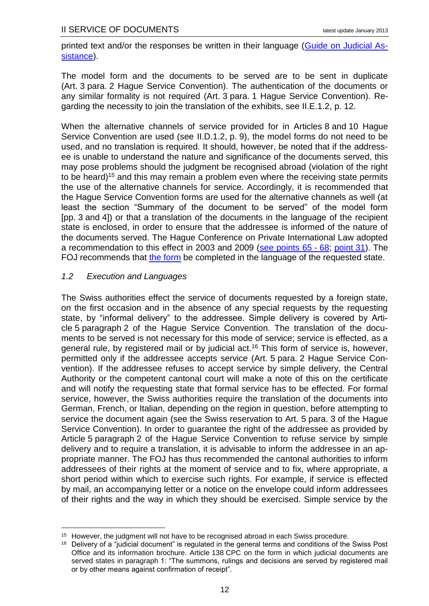printed text and/or the responses be written in their language [\(Guide on Judicial As](http://www.rhf.admin.ch/rhf/fr/home/rechtshilfefuehrer.html)[sistance\)](http://www.rhf.admin.ch/rhf/fr/home/rechtshilfefuehrer.html).

The model form and the documents to be served are to be sent in duplicate (Art. 3 para. 2 Hague Service Convention). The authentication of the documents or any similar formality is not required (Art. 3 para. 1 Hague Service Convention). Regarding the necessity to join the translation of the exhibits, see [II.E.1.2,](#page-16-0) p. [12.](#page-16-0)

<span id="page-16-1"></span>When the alternative channels of service provided for in Articles 8 and 10 Hague Service Convention are used (see [II.D.1.2,](#page-13-0) p. [9\)](#page-13-0), the model forms do not need to be used, and no translation is required. It should, however, be noted that if the addressee is unable to understand the nature and significance of the documents served, this may pose problems should the judgment be recognised abroad (violation of the right to be heard)<sup>15</sup> and this may remain a problem even where the receiving state permits the use of the alternative channels for service. Accordingly, it is recommended that the Hague Service Convention forms are used for the alternative channels as well (at least the section "Summary of the document to be served" of the model form [pp. 3 and 4]) or that a translation of the documents in the language of the recipient state is enclosed, in order to ensure that the addressee is informed of the nature of the documents served. The Hague Conference on Private International Law adopted a recommendation to this effect in 2003 and 2009 [\(see points 65](http://www.hcch.net/index_en.php?act=publications.details&pid=26&dtid=2) - 68; [point](http://www.hcch.net/upload/wop/jac_concl_e.pdf) 31). The FOJ recommends that [the form](http://www.rhf.admin.ch/rhf/fr/home/rechtshilfefuehrer/muster/zustellungsgesuch-hzue65.html) be completed in the language of the requested state.

## <span id="page-16-0"></span>*1.2 Execution and Languages*

The Swiss authorities effect the service of documents requested by a foreign state, on the first occasion and in the absence of any special requests by the requesting state, by "informal delivery" to the addressee. Simple delivery is covered by Article 5 paragraph 2 of the Hague Service Convention. The translation of the documents to be served is not necessary for this mode of service; service is effected, as a general rule, by registered mail or by judicial act.<sup>16</sup> This form of service is, however, permitted only if the addressee accepts service (Art. 5 para. 2 Hague Service Convention). If the addressee refuses to accept service by simple delivery, the Central Authority or the competent cantonal court will make a note of this on the certificate and will notify the requesting state that formal service has to be effected. For formal service, however, the Swiss authorities require the translation of the documents into German, French, or Italian, depending on the region in question, before attempting to service the document again (see the Swiss reservation to Art. 5 para. 3 of the Hague Service Convention). In order to guarantee the right of the addressee as provided by Article 5 paragraph 2 of the Hague Service Convention to refuse service by simple delivery and to require a translation, it is advisable to inform the addressee in an appropriate manner. The FOJ has thus recommended the cantonal authorities to inform addressees of their rights at the moment of service and to fix, where appropriate, a short period within which to exercise such rights. For example, if service is effected by mail, an accompanying letter or a notice on the envelope could inform addressees of their rights and the way in which they should be exercised. Simple service by the

<sup>&</sup>lt;u>.</u> <sup>15</sup> However, the judgment will not have to be recognised abroad in each Swiss procedure.

<sup>&</sup>lt;sup>16</sup> Delivery of a "judicial document" is regulated in the general terms and conditions of the Swiss Post Office and its information brochure. Article 138 CPC on the form in which judicial documents are served states in paragraph 1: "The summons, rulings and decisions are served by registered mail or by other means against confirmation of receipt".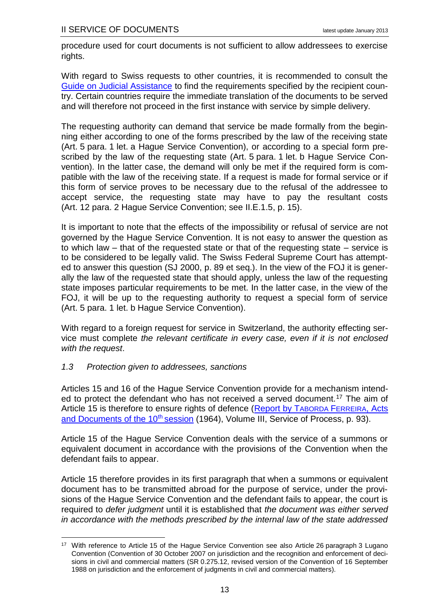procedure used for court documents is not sufficient to allow addressees to exercise rights.

With regard to Swiss requests to other countries, it is recommended to consult the [Guide on Judicial Assistance](http://www.rhf.admin.ch/rhf/fr/home/rechtshilfefuehrer.html) to find the requirements specified by the recipient country. Certain countries require the immediate translation of the documents to be served and will therefore not proceed in the first instance with service by simple delivery.

The requesting authority can demand that service be made formally from the beginning either according to one of the forms prescribed by the law of the receiving state (Art. 5 para. 1 let. a Hague Service Convention), or according to a special form prescribed by the law of the requesting state (Art. 5 para. 1 let. b Hague Service Convention). In the latter case, the demand will only be met if the required form is compatible with the law of the receiving state. If a request is made for formal service or if this form of service proves to be necessary due to the refusal of the addressee to accept service, the requesting state may have to pay the resultant costs (Art. 12 para. 2 Hague Service Convention; see [II.E.1.5,](#page-19-0) p. [15\)](#page-19-0).

It is important to note that the effects of the impossibility or refusal of service are not governed by the Hague Service Convention. It is not easy to answer the question as to which law – that of the requested state or that of the requesting state – service is to be considered to be legally valid. The Swiss Federal Supreme Court has attempted to answer this question (SJ 2000, p. 89 et seq.). In the view of the FOJ it is generally the law of the requested state that should apply, unless the law of the requesting state imposes particular requirements to be met. In the latter case, in the view of the FOJ, it will be up to the requesting authority to request a special form of service (Art. 5 para. 1 let. b Hague Service Convention).

With regard to a foreign request for service in Switzerland, the authority effecting service must complete *the relevant certificate in every case, even if it is not enclosed with the request*.

## <span id="page-17-0"></span>*1.3 Protection given to addressees, sanctions*

1

Articles 15 and 16 of the Hague Service Convention provide for a mechanism intended to protect the defendant who has not received a served document.<sup>17</sup> The aim of Article 15 is therefore to ensure rights of defence [\(Report by T](http://www.hcch.net/index_en.php?act=publications.details&pid=2942&dtid=3)ABORDA FERREIRA, Acts [and Documents of the 10](http://www.hcch.net/index_en.php?act=publications.details&pid=2942&dtid=3)<sup>th</sup> session (1964), Volume III, Service of Process, p. 93).

Article 15 of the Hague Service Convention deals with the service of a summons or equivalent document in accordance with the provisions of the Convention when the defendant fails to appear.

Article 15 therefore provides in its first paragraph that when a summons or equivalent document has to be transmitted abroad for the purpose of service, under the provisions of the Hague Service Convention and the defendant fails to appear, the court is required to *defer judgment* until it is established that *the document was either served in accordance with the methods prescribed by the internal law of the state addressed* 

<sup>&</sup>lt;sup>17</sup> With reference to Article 15 of the Hague Service Convention see also Article 26 paragraph 3 Lugano Convention (Convention of 30 October 2007 on jurisdiction and the recognition and enforcement of decisions in civil and commercial matters (SR 0.275.12, revised version of the Convention of 16 September 1988 on jurisdiction and the enforcement of judgments in civil and commercial matters).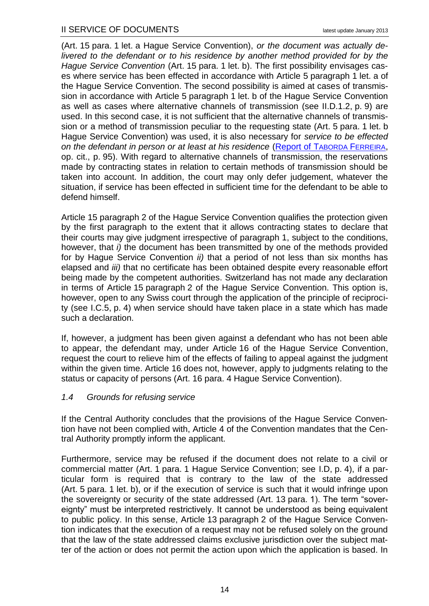(Art. 15 para. 1 let. a Hague Service Convention), *or the document was actually delivered to the defendant or to his residence by another method provided for by the Hague Service Convention* (Art. 15 para. 1 let. b). The first possibility envisages cases where service has been effected in accordance with Article 5 paragraph 1 let. a of the Hague Service Convention. The second possibility is aimed at cases of transmission in accordance with Article 5 paragraph 1 let. b of the Hague Service Convention as well as cases where alternative channels of transmission (see [II.D.1.2,](#page-13-0) p. [9\)](#page-13-0) are used. In this second case, it is not sufficient that the alternative channels of transmission or a method of transmission peculiar to the requesting state (Art. 5 para. 1 let. b Hague Service Convention) was used, it is also necessary for *service to be effected on the defendant in person or at least at his residence* [\(Report of T](http://www.hcch.net/index_en.php?act=publications.details&pid=2942&dtid=3)ABORDA FERREIRA, op. cit., p. 95). With regard to alternative channels of transmission, the reservations made by contracting states in relation to certain methods of transmission should be taken into account. In addition, the court may only defer judgement, whatever the situation, if service has been effected in sufficient time for the defendant to be able to defend himself.

Article 15 paragraph 2 of the Hague Service Convention qualifies the protection given by the first paragraph to the extent that it allows contracting states to declare that their courts may give judgment irrespective of paragraph 1, subject to the conditions, however, that *i)* the document has been transmitted by one of the methods provided for by Hague Service Convention *ii)* that a period of not less than six months has elapsed and *iii)* that no certificate has been obtained despite every reasonable effort being made by the competent authorities. Switzerland has not made any declaration in terms of Article 15 paragraph 2 of the Hague Service Convention. This option is, however, open to any Swiss court through the application of the principle of reciprocity (see [I.C.5,](#page-8-0) p. [4\)](#page-8-0) when service should have taken place in a state which has made such a declaration.

If, however, a judgment has been given against a defendant who has not been able to appear, the defendant may, under Article 16 of the Hague Service Convention, request the court to relieve him of the effects of failing to appeal against the judgment within the given time. Article 16 does not, however, apply to judgments relating to the status or capacity of persons (Art. 16 para. 4 Hague Service Convention).

## <span id="page-18-0"></span>*1.4 Grounds for refusing service*

If the Central Authority concludes that the provisions of the Hague Service Convention have not been complied with, Article 4 of the Convention mandates that the Central Authority promptly inform the applicant.

Furthermore, service may be refused if the document does not relate to a civil or commercial matter (Art. 1 para. 1 Hague Service Convention; see [I.D,](#page-8-1) p. [4\)](#page-8-1), if a particular form is required that is contrary to the law of the state addressed (Art. 5 para. 1 let. b), or if the execution of service is such that it would infringe upon the sovereignty or security of the state addressed (Art. 13 para. 1). The term "sovereignty" must be interpreted restrictively. It cannot be understood as being equivalent to public policy. In this sense, Article 13 paragraph 2 of the Hague Service Convention indicates that the execution of a request may not be refused solely on the ground that the law of the state addressed claims exclusive jurisdiction over the subject matter of the action or does not permit the action upon which the application is based. In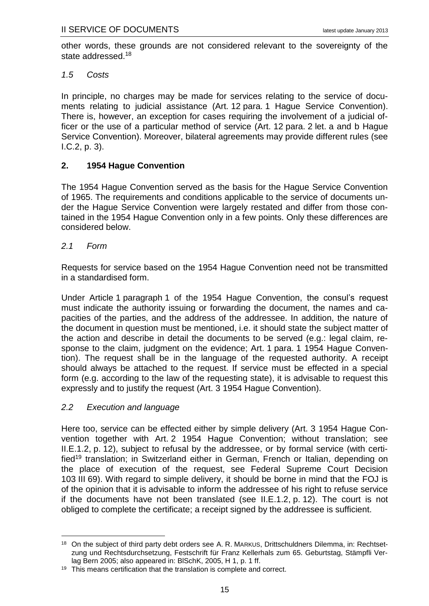other words, these grounds are not considered relevant to the sovereignty of the state addressed.<sup>18</sup>

#### <span id="page-19-0"></span>*1.5 Costs*

In principle, no charges may be made for services relating to the service of documents relating to judicial assistance (Art. 12 para. 1 Hague Service Convention). There is, however, an exception for cases requiring the involvement of a judicial officer or the use of a particular method of service (Art. 12 para. 2 let. a and b Hague Service Convention). Moreover, bilateral agreements may provide different rules (see [I.C.2,](#page-7-0) p. [3\)](#page-7-0).

## <span id="page-19-1"></span>**2. 1954 Hague Convention**

The 1954 Hague Convention served as the basis for the Hague Service Convention of 1965. The requirements and conditions applicable to the service of documents under the Hague Service Convention were largely restated and differ from those contained in the 1954 Hague Convention only in a few points. Only these differences are considered below.

## <span id="page-19-2"></span>*2.1 Form*

Requests for service based on the 1954 Hague Convention need not be transmitted in a standardised form.

Under Article 1 paragraph 1 of the 1954 Hague Convention, the consul's request must indicate the authority issuing or forwarding the document, the names and capacities of the parties, and the address of the addressee. In addition, the nature of the document in question must be mentioned, i.e. it should state the subject matter of the action and describe in detail the documents to be served (e.g.: legal claim, response to the claim, judgment on the evidence; Art. 1 para. 1 1954 Hague Convention). The request shall be in the language of the requested authority. A receipt should always be attached to the request. If service must be effected in a special form (e.g. according to the law of the requesting state), it is advisable to request this expressly and to justify the request (Art. 3 1954 Hague Convention).

## <span id="page-19-3"></span>*2.2 Execution and language*

Here too, service can be effected either by simple delivery (Art. 3 1954 Hague Convention together with Art. 2 1954 Hague Convention; without translation; see [II.E.1.2,](#page-16-0) p. [12\)](#page-16-0), subject to refusal by the addressee, or by formal service (with certified<sup>19</sup> translation; in Switzerland either in German, French or Italian, depending on the place of execution of the request, see Federal Supreme Court Decision 103 III 69). With regard to simple delivery, it should be borne in mind that the FOJ is of the opinion that it is advisable to inform the addressee of his right to refuse service if the documents have not been translated (see [II.E.1.2,](#page-16-0) p. [12\)](#page-16-0). The court is not obliged to complete the certificate; a receipt signed by the addressee is sufficient.

<sup>1</sup> <sup>18</sup> On the subject of third party debt orders see A. R. MARKUS, Drittschuldners Dilemma, in: Rechtsetzung und Rechtsdurchsetzung, Festschrift für Franz Kellerhals zum 65. Geburtstag, Stämpfli Verlag Bern 2005; also appeared in: BlSchK, 2005, H 1, p. 1 ff.

 $19$  This means certification that the translation is complete and correct.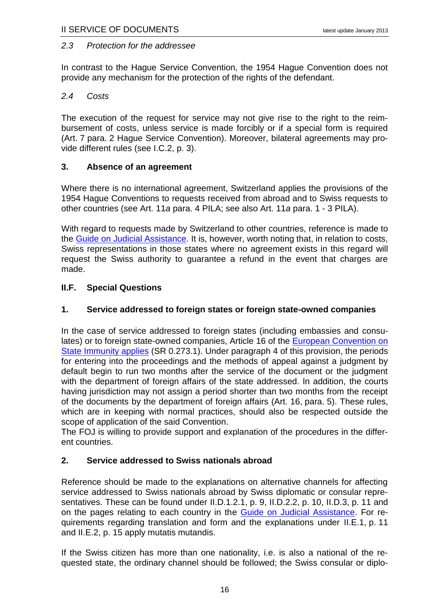#### <span id="page-20-0"></span>*2.3 Protection for the addressee*

In contrast to the Hague Service Convention, the 1954 Hague Convention does not provide any mechanism for the protection of the rights of the defendant.

#### <span id="page-20-1"></span>*2.4 Costs*

The execution of the request for service may not give rise to the right to the reimbursement of costs, unless service is made forcibly or if a special form is required (Art. 7 para. 2 Hague Service Convention). Moreover, bilateral agreements may provide different rules (see [I.C.2,](#page-7-0) p. [3\)](#page-7-0).

#### <span id="page-20-2"></span>**3. Absence of an agreement**

Where there is no international agreement, Switzerland applies the provisions of the 1954 Hague Conventions to requests received from abroad and to Swiss requests to other countries (see Art. 11*a* para. 4 PILA; see also Art. 11*a* para. 1 - 3 PILA).

With regard to requests made by Switzerland to other countries, reference is made to the [Guide on Judicial Assistance.](http://www.rhf.admin.ch/rhf/fr/home/rechtshilfefuehrer.html) It is, however, worth noting that, in relation to costs, Swiss representations in those states where no agreement exists in this regard will request the Swiss authority to guarantee a refund in the event that charges are made.

#### <span id="page-20-3"></span>**II.F. Special Questions**

## <span id="page-20-4"></span>**1. Service addressed to foreign states or foreign state-owned companies**

In the case of service addressed to foreign states (including embassies and consulates) or to foreign state-owned companies, Article 16 of the **European Convention on** [State Immunity applies](http://www.coe.int/en/web/conventions/full-list/-/conventions/treaty/074) (SR 0.273.1). Under paragraph 4 of this provision, the periods for entering into the proceedings and the methods of appeal against a judgment by default begin to run two months after the service of the document or the judgment with the department of foreign affairs of the state addressed. In addition, the courts having jurisdiction may not assign a period shorter than two months from the receipt of the documents by the department of foreign affairs (Art. 16, para. 5). These rules, which are in keeping with normal practices, should also be respected outside the scope of application of the said Convention.

The FOJ is willing to provide support and explanation of the procedures in the different countries.

#### <span id="page-20-5"></span>**2. Service addressed to Swiss nationals abroad**

Reference should be made to the explanations on alternative channels for affecting service addressed to Swiss nationals abroad by Swiss diplomatic or consular repre-sentatives. These can be found under [II.D.1.2.1,](#page-13-1) p. [9,](#page-13-1) [II.D.2.2,](#page-14-3) p. [10,](#page-14-3) [II.D.3,](#page-15-0) p. [11](#page-15-0) and on the pages relating to each country in the [Guide on Judicial Assistance.](http://www.rhf.admin.ch/rhf/fr/home/rechtshilfefuehrer.html) For requirements regarding translation and form and the explanations under [II.E.1,](#page-15-3) p. [11](#page-15-2) and [II.E.2,](#page-19-1) p. [15](#page-19-1) apply mutatis mutandis.

If the Swiss citizen has more than one nationality, i.e. is also a national of the requested state, the ordinary channel should be followed; the Swiss consular or diplo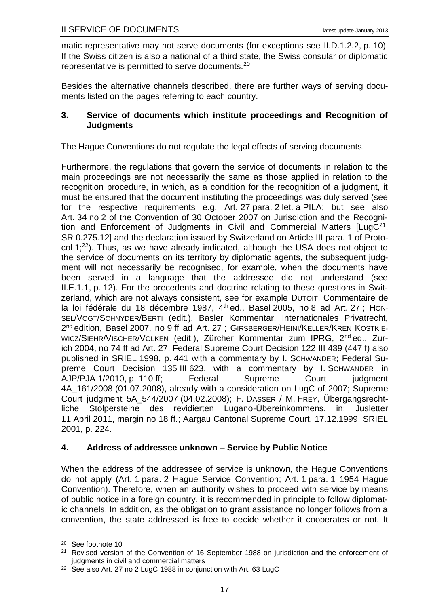matic representative may not serve documents (for exceptions see [II.D.1.2.2,](#page-14-0) p. [10\)](#page-14-0). If the Swiss citizen is also a national of a third state, the Swiss consular or diplomatic representative is permitted to serve documents.<sup>20</sup>

Besides the alternative channels described, there are further ways of serving documents listed on the pages referring to each country.

## <span id="page-21-0"></span>**3. Service of documents which institute proceedings and Recognition of Judgments**

The Hague Conventions do not regulate the legal effects of serving documents.

Furthermore, the regulations that govern the service of documents in relation to the main proceedings are not necessarily the same as those applied in relation to the recognition procedure, in which, as a condition for the recognition of a judgment, it must be ensured that the document instituting the proceedings was duly served (see for the respective requirements e.g. Art. 27 para. 2 let. a PILA; but see also Art. 34 no 2 of the Convention of 30 October 2007 on Jurisdiction and the Recognition and Enforcement of Judgments in Civil and Commercial Matters [LugC<sup>21</sup>, SR 0.275.12] and the declaration issued by Switzerland on Article III para. 1 of Protocol 1; <sup>22</sup>). Thus, as we have already indicated, although the USA does not object to the service of documents on its territory by diplomatic agents, the subsequent judgment will not necessarily be recognised, for example, when the documents have been served in a language that the addressee did not understand (see [II.E.1.1,](#page-15-4) p. [12\)](#page-16-1). For the precedents and doctrine relating to these questions in Switzerland, which are not always consistent, see for example DUTOIT, Commentaire de la loi fédérale du 18 décembre 1987, 4<sup>th</sup> ed., Basel 2005, no 8 ad Art. 27 ; HON-SEL/VOGT/SCHNYDER/BERTI (edit.), Basler Kommentar, Internationales Privatrecht, 2<sup>nd</sup> edition, Basel 2007, no 9 ff ad Art. 27 ; GIRSBERGER/HEINI/KELLER/KREN KOSTKIE-WICZ/SIEHR/VISCHER/VOLKEN (edit.), Zürcher Kommentar zum IPRG, 2<sup>nd</sup> ed., Zurich 2004, no 74 ff ad Art. 27; Federal Supreme Court Decision 122 III 439 (447 f) also published in SRIEL 1998, p. 441 with a commentary by I. SCHWANDER; Federal Supreme Court Decision 135 III 623, with a commentary by I. SCHWANDER in AJP/PJA 1/2010, p. 110 ff; Federal Supreme Court judgment 4A\_161/2008 (01.07.2008), already with a consideration on LugC of 2007; Supreme Court judgment 5A\_544/2007 (04.02.2008); F. DASSER / M. FREY, Übergangsrechtliche Stolpersteine des revidierten Lugano-Übereinkommens, in: Jusletter 11 April 2011, margin no 18 ff.; Aargau Cantonal Supreme Court, 17.12.1999, SRIEL 2001, p. 224.

## <span id="page-21-1"></span>**4. Address of addressee unknown – Service by Public Notice**

When the address of the addressee of service is unknown, the Hague Conventions do not apply (Art. 1 para. 2 Hague Service Convention; Art. 1 para. 1 1954 Hague Convention). Therefore, when an authority wishes to proceed with service by means of public notice in a foreign country, it is recommended in principle to follow diplomatic channels. In addition, as the obligation to grant assistance no longer follows from a convention, the state addressed is free to decide whether it cooperates or not. It

1

<sup>20</sup> See footnote [10](#page-13-2)

<sup>&</sup>lt;sup>21</sup> Revised version of the Convention of 16 September 1988 on jurisdiction and the enforcement of judgments in civil and commercial matters

<sup>&</sup>lt;sup>22</sup> See also Art. 27 no 2 LugC 1988 in conjunction with Art. 63 LugC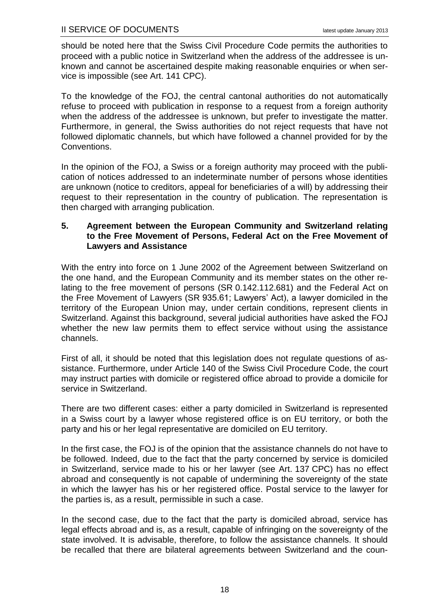should be noted here that the Swiss Civil Procedure Code permits the authorities to proceed with a public notice in Switzerland when the address of the addressee is unknown and cannot be ascertained despite making reasonable enquiries or when service is impossible (see Art. 141 CPC).

To the knowledge of the FOJ, the central cantonal authorities do not automatically refuse to proceed with publication in response to a request from a foreign authority when the address of the addressee is unknown, but prefer to investigate the matter. Furthermore, in general, the Swiss authorities do not reject requests that have not followed diplomatic channels, but which have followed a channel provided for by the Conventions.

In the opinion of the FOJ, a Swiss or a foreign authority may proceed with the publication of notices addressed to an indeterminate number of persons whose identities are unknown (notice to creditors, appeal for beneficiaries of a will) by addressing their request to their representation in the country of publication. The representation is then charged with arranging publication.

## <span id="page-22-0"></span>**5. Agreement between the European Community and Switzerland relating to the Free Movement of Persons, Federal Act on the Free Movement of Lawyers and Assistance**

With the entry into force on 1 June 2002 of the Agreement between Switzerland on the one hand, and the European Community and its member states on the other relating to the free movement of persons (SR 0.142.112.681) and the Federal Act on the Free Movement of Lawyers (SR 935.61; Lawyers' Act), a lawyer domiciled in the territory of the European Union may, under certain conditions, represent clients in Switzerland. Against this background, several judicial authorities have asked the FOJ whether the new law permits them to effect service without using the assistance channels.

First of all, it should be noted that this legislation does not regulate questions of assistance. Furthermore, under Article 140 of the Swiss Civil Procedure Code, the court may instruct parties with domicile or registered office abroad to provide a domicile for service in Switzerland.

There are two different cases: either a party domiciled in Switzerland is represented in a Swiss court by a lawyer whose registered office is on EU territory, or both the party and his or her legal representative are domiciled on EU territory.

In the first case, the FOJ is of the opinion that the assistance channels do not have to be followed. Indeed, due to the fact that the party concerned by service is domiciled in Switzerland, service made to his or her lawyer (see Art. 137 CPC) has no effect abroad and consequently is not capable of undermining the sovereignty of the state in which the lawyer has his or her registered office. Postal service to the lawyer for the parties is, as a result, permissible in such a case.

In the second case, due to the fact that the party is domiciled abroad, service has legal effects abroad and is, as a result, capable of infringing on the sovereignty of the state involved. It is advisable, therefore, to follow the assistance channels. It should be recalled that there are bilateral agreements between Switzerland and the coun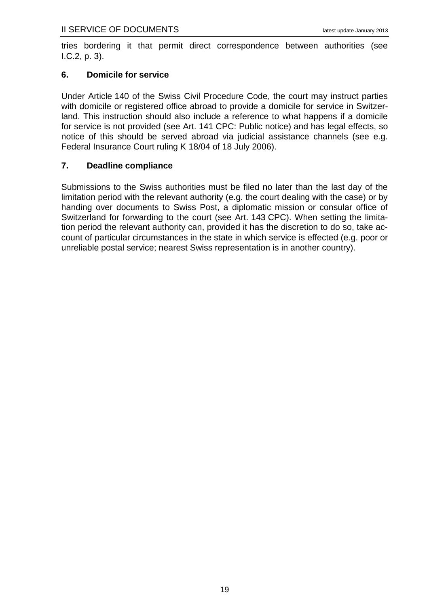tries bordering it that permit direct correspondence between authorities (see [I.C.2,](#page-7-0) p. [3\)](#page-7-0).

## <span id="page-23-0"></span>**6. Domicile for service**

Under Article 140 of the Swiss Civil Procedure Code, the court may instruct parties with domicile or registered office abroad to provide a domicile for service in Switzerland. This instruction should also include a reference to what happens if a domicile for service is not provided (see Art. 141 CPC: Public notice) and has legal effects, so notice of this should be served abroad via judicial assistance channels (see e.g. Federal Insurance Court ruling K 18/04 of 18 July 2006).

# <span id="page-23-1"></span>**7. Deadline compliance**

Submissions to the Swiss authorities must be filed no later than the last day of the limitation period with the relevant authority (e.g. the court dealing with the case) or by handing over documents to Swiss Post, a diplomatic mission or consular office of Switzerland for forwarding to the court (see Art. 143 CPC). When setting the limitation period the relevant authority can, provided it has the discretion to do so, take account of particular circumstances in the state in which service is effected (e.g. poor or unreliable postal service; nearest Swiss representation is in another country).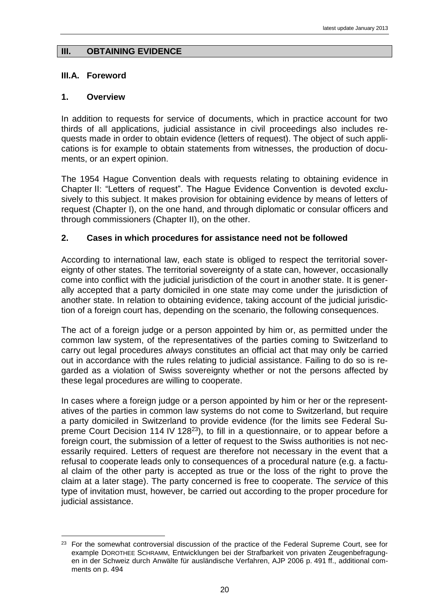## <span id="page-24-0"></span>**III. OBTAINING EVIDENCE**

## <span id="page-24-1"></span>**III.A. Foreword**

#### <span id="page-24-2"></span>**1. Overview**

1

In addition to requests for service of documents, which in practice account for two thirds of all applications, judicial assistance in civil proceedings also includes requests made in order to obtain evidence (letters of request). The object of such applications is for example to obtain statements from witnesses, the production of documents, or an expert opinion.

The 1954 Hague Convention deals with requests relating to obtaining evidence in Chapter II: "Letters of request". The Hague Evidence Convention is devoted exclusively to this subject. It makes provision for obtaining evidence by means of letters of request (Chapter I), on the one hand, and through diplomatic or consular officers and through commissioners (Chapter II), on the other.

## <span id="page-24-3"></span>**2. Cases in which procedures for assistance need not be followed**

According to international law, each state is obliged to respect the territorial sovereignty of other states. The territorial sovereignty of a state can, however, occasionally come into conflict with the judicial jurisdiction of the court in another state. It is generally accepted that a party domiciled in one state may come under the jurisdiction of another state. In relation to obtaining evidence, taking account of the judicial jurisdiction of a foreign court has, depending on the scenario, the following consequences.

The act of a foreign judge or a person appointed by him or, as permitted under the common law system, of the representatives of the parties coming to Switzerland to carry out legal procedures *always* constitutes an official act that may only be carried out in accordance with the rules relating to judicial assistance. Failing to do so is regarded as a violation of Swiss sovereignty whether or not the persons affected by these legal procedures are willing to cooperate.

In cases where a foreign judge or a person appointed by him or her or the representatives of the parties in common law systems do not come to Switzerland, but require a party domiciled in Switzerland to provide evidence (for the limits see Federal Supreme Court Decision 114 IV 128<sup>23</sup>), to fill in a questionnaire, or to appear before a foreign court, the submission of a letter of request to the Swiss authorities is not necessarily required. Letters of request are therefore not necessary in the event that a refusal to cooperate leads only to consequences of a procedural nature (e.g. a factual claim of the other party is accepted as true or the loss of the right to prove the claim at a later stage). The party concerned is free to cooperate. The *service* of this type of invitation must, however, be carried out according to the proper procedure for judicial assistance.

<sup>&</sup>lt;sup>23</sup> For the somewhat controversial discussion of the practice of the Federal Supreme Court, see for example DOROTHEE SCHRAMM, Entwicklungen bei der Strafbarkeit von privaten Zeugenbefragungen in der Schweiz durch Anwälte für ausländische Verfahren, AJP 2006 p. 491 ff., additional comments on p. 494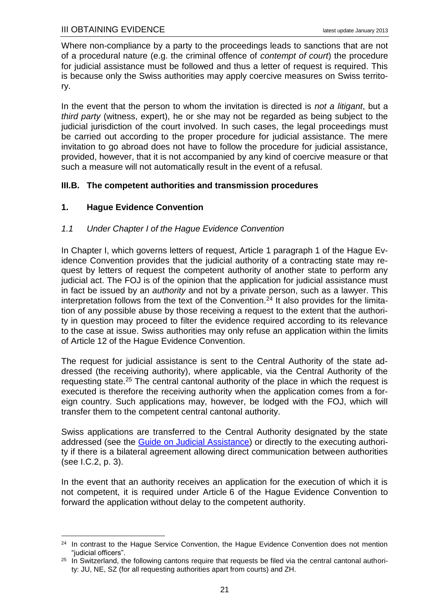Where non-compliance by a party to the proceedings leads to sanctions that are not of a procedural nature (e.g. the criminal offence of *contempt of court*) the procedure for judicial assistance must be followed and thus a letter of request is required. This is because only the Swiss authorities may apply coercive measures on Swiss territory.

In the event that the person to whom the invitation is directed is *not a litigant*, but a *third party* (witness, expert), he or she may not be regarded as being subject to the judicial jurisdiction of the court involved. In such cases, the legal proceedings must be carried out according to the proper procedure for judicial assistance. The mere invitation to go abroad does not have to follow the procedure for judicial assistance, provided, however, that it is not accompanied by any kind of coercive measure or that such a measure will not automatically result in the event of a refusal.

# <span id="page-25-0"></span>**III.B. The competent authorities and transmission procedures**

# <span id="page-25-1"></span>**1. Hague Evidence Convention**

# <span id="page-25-2"></span>*1.1 Under Chapter I of the Hague Evidence Convention*

In Chapter I, which governs letters of request, Article 1 paragraph 1 of the Hague Evidence Convention provides that the judicial authority of a contracting state may request by letters of request the competent authority of another state to perform any judicial act. The FOJ is of the opinion that the application for judicial assistance must in fact be issued by an *authority* and not by a private person, such as a lawyer. This interpretation follows from the text of the Convention.<sup>24</sup> It also provides for the limitation of any possible abuse by those receiving a request to the extent that the authority in question may proceed to filter the evidence required according to its relevance to the case at issue. Swiss authorities may only refuse an application within the limits of Article 12 of the Hague Evidence Convention.

<span id="page-25-3"></span>The request for judicial assistance is sent to the Central Authority of the state addressed (the receiving authority), where applicable, via the Central Authority of the requesting state.<sup>25</sup> The central cantonal authority of the place in which the request is executed is therefore the receiving authority when the application comes from a foreign country. Such applications may, however, be lodged with the FOJ, which will transfer them to the competent central cantonal authority.

Swiss applications are transferred to the Central Authority designated by the state addressed (see the [Guide on Judicial Assistance\)](http://www.rhf.admin.ch/rhf/fr/home/rechtshilfefuehrer.html) or directly to the executing authority if there is a bilateral agreement allowing direct communication between authorities (see [I.C.2,](#page-7-0) p. [3\)](#page-7-0).

In the event that an authority receives an application for the execution of which it is not competent, it is required under Article 6 of the Hague Evidence Convention to forward the application without delay to the competent authority.

<sup>1</sup> <sup>24</sup> In contrast to the Hague Service Convention, the Hague Evidence Convention does not mention "judicial officers".

 $25$  In Switzerland, the following cantons require that requests be filed via the central cantonal authority: JU, NE, SZ (for all requesting authorities apart from courts) and ZH.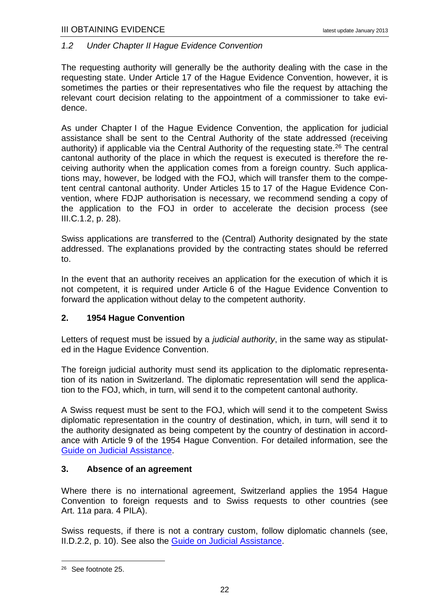#### <span id="page-26-0"></span>*1.2 Under Chapter II Hague Evidence Convention*

The requesting authority will generally be the authority dealing with the case in the requesting state. Under Article 17 of the Hague Evidence Convention, however, it is sometimes the parties or their representatives who file the request by attaching the relevant court decision relating to the appointment of a commissioner to take evidence.

As under Chapter I of the Hague Evidence Convention, the application for judicial assistance shall be sent to the Central Authority of the state addressed (receiving authority) if applicable via the Central Authority of the requesting state.<sup>26</sup> The central cantonal authority of the place in which the request is executed is therefore the receiving authority when the application comes from a foreign country. Such applications may, however, be lodged with the FOJ, which will transfer them to the competent central cantonal authority. Under Articles 15 to 17 of the Hague Evidence Convention, where FDJP authorisation is necessary, we recommend sending a copy of the application to the FOJ in order to accelerate the decision process (see [III.C.1.2,](#page-32-0) p. [28\)](#page-32-0).

Swiss applications are transferred to the (Central) Authority designated by the state addressed. The explanations provided by the contracting states should be referred to.

In the event that an authority receives an application for the execution of which it is not competent, it is required under Article 6 of the Hague Evidence Convention to forward the application without delay to the competent authority.

## <span id="page-26-1"></span>**2. 1954 Hague Convention**

Letters of request must be issued by a *judicial authority*, in the same way as stipulated in the Hague Evidence Convention.

The foreign judicial authority must send its application to the diplomatic representation of its nation in Switzerland. The diplomatic representation will send the application to the FOJ, which, in turn, will send it to the competent cantonal authority.

A Swiss request must be sent to the FOJ, which will send it to the competent Swiss diplomatic representation in the country of destination, which, in turn, will send it to the authority designated as being competent by the country of destination in accordance with Article 9 of the 1954 Hague Convention. For detailed information, see the [Guide on Judicial Assistance.](http://www.rhf.admin.ch/rhf/fr/home/rechtshilfefuehrer.html)

#### <span id="page-26-2"></span>**3. Absence of an agreement**

Where there is no international agreement, Switzerland applies the 1954 Hague Convention to foreign requests and to Swiss requests to other countries (see Art. 11*a* para. 4 PILA).

Swiss requests, if there is not a contrary custom, follow diplomatic channels (see, [II.D.2.2,](#page-14-3) p. [10\)](#page-14-3). See also the [Guide on Judicial Assistance.](http://www.rhf.admin.ch/rhf/fr/home/rechtshilfefuehrer.html)

<u>.</u>

<sup>26</sup> See footnote [25.](#page-25-3)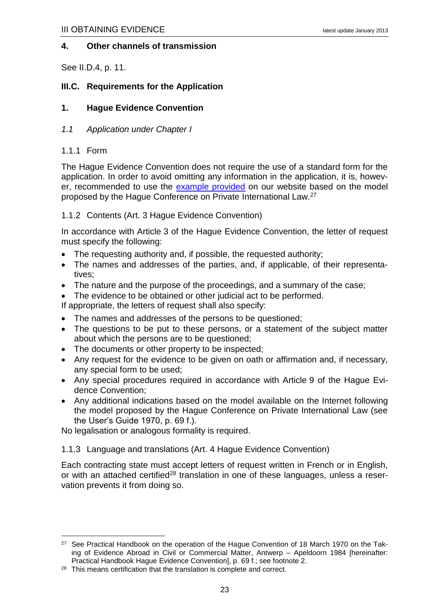#### <span id="page-27-0"></span>**4. Other channels of transmission**

See [II.D.4,](#page-15-1) p. [11.](#page-15-1)

## <span id="page-27-1"></span>**III.C. Requirements for the Application**

## <span id="page-27-2"></span>**1. Hague Evidence Convention**

<span id="page-27-3"></span>*1.1 Application under Chapter I*

#### <span id="page-27-4"></span>1.1.1 Form

1

The Hague Evidence Convention does not require the use of a standard form for the application. In order to avoid omitting any information in the application, it is, however, recommended to use the [example provided](http://www.rhf.admin.ch/dam/data/rhf/rechtshilfefuehrer/muster/muster-ersuchen-hbewue70-f-e.doc) on our website based on the model proposed by the Hague Conference on Private International Law.<sup>27</sup>

#### <span id="page-27-5"></span>1.1.2 Contents (Art. 3 Hague Evidence Convention)

In accordance with Article 3 of the Hague Evidence Convention, the letter of request must specify the following:

- The requesting authority and, if possible, the requested authority;
- The names and addresses of the parties, and, if applicable, of their representatives;
- The nature and the purpose of the proceedings, and a summary of the case;
- The evidence to be obtained or other judicial act to be performed.

If appropriate, the letters of request shall also specify:

- The names and addresses of the persons to be questioned;
- The questions to be put to these persons, or a statement of the subject matter about which the persons are to be questioned;
- The documents or other property to be inspected;
- Any request for the evidence to be given on oath or affirmation and, if necessary, any special form to be used;
- Any special procedures required in accordance with Article 9 of the Hague Evidence Convention;
- Any additional indications based on the [model available](http://www.rhf.admin.ch/etc/medialib/data/rhf/form.Par.0019.File.tmp/form-HBewUe70-f.doc) on the Internet following the model proposed by the Hague Conference on Private International Law (see the User's Guide 1970, p. 69 f.).

No legalisation or analogous formality is required.

<span id="page-27-6"></span>1.1.3 Language and translations (Art. 4 Hague Evidence Convention)

Each contracting state must accept letters of request written in French or in English, or with an attached certified<sup>28</sup> translation in one of these languages, unless a reservation prevents it from doing so.

<sup>&</sup>lt;sup>27</sup> See Practical Handbook on the operation of the Hague Convention of 18 March 1970 on the Taking of Evidence Abroad in Civil or Commercial Matter, Antwerp – Apeldoorn 1984 [hereinafter: Practical Handbook Hague Evidence Convention], p. 69 f.; see footnote [2.](#page-7-3)

<sup>&</sup>lt;sup>28</sup> This means certification that the translation is complete and correct.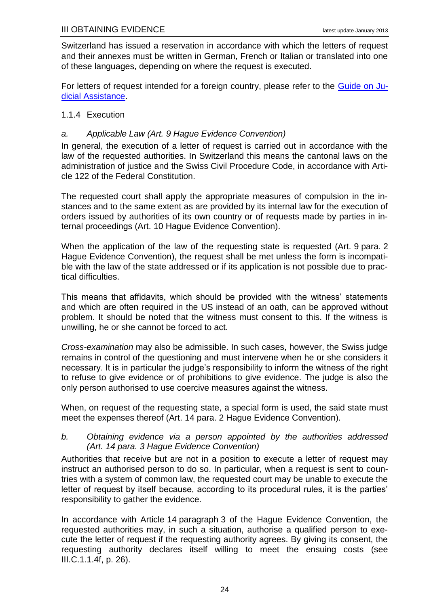Switzerland has issued a reservation in accordance with which the letters of request and their annexes must be written in German, French or Italian or translated into one of these languages, depending on where the request is executed.

For letters of request intended for a foreign country, please refer to the [Guide on Ju](http://www.rhf.admin.ch/rhf/fr/home/rechtshilfefuehrer.html)[dicial Assistance.](http://www.rhf.admin.ch/rhf/fr/home/rechtshilfefuehrer.html)

## <span id="page-28-0"></span>1.1.4 Execution

## <span id="page-28-1"></span>*a. Applicable Law (Art. 9 Hague Evidence Convention)*

In general, the execution of a letter of request is carried out in accordance with the law of the requested authorities. In Switzerland this means the cantonal laws on the administration of justice and the Swiss Civil Procedure Code, in accordance with Article 122 of the Federal Constitution.

The requested court shall apply the appropriate measures of compulsion in the instances and to the same extent as are provided by its internal law for the execution of orders issued by authorities of its own country or of requests made by parties in internal proceedings (Art. 10 Hague Evidence Convention).

When the application of the law of the requesting state is requested (Art. 9 para. 2 Hague Evidence Convention), the request shall be met unless the form is incompatible with the law of the state addressed or if its application is not possible due to practical difficulties.

This means that affidavits, which should be provided with the witness' statements and which are often required in the US instead of an oath, can be approved without problem. It should be noted that the witness must consent to this. If the witness is unwilling, he or she cannot be forced to act.

*Cross-examination* may also be admissible. In such cases, however, the Swiss judge remains in control of the questioning and must intervene when he or she considers it necessary. It is in particular the judge's responsibility to inform the witness of the right to refuse to give evidence or of prohibitions to give evidence. The judge is also the only person authorised to use coercive measures against the witness.

When, on request of the requesting state, a special form is used, the said state must meet the expenses thereof (Art. 14 para. 2 Hague Evidence Convention).

#### <span id="page-28-2"></span>*b. Obtaining evidence via a person appointed by the authorities addressed (Art. 14 para. 3 Hague Evidence Convention)*

Authorities that receive but are not in a position to execute a letter of request may instruct an authorised person to do so. In particular, when a request is sent to countries with a system of common law, the requested court may be unable to execute the letter of request by itself because, according to its procedural rules, it is the parties' responsibility to gather the evidence.

In accordance with Article 14 paragraph 3 of the Hague Evidence Convention, the requested authorities may, in such a situation, authorise a qualified person to execute the letter of request if the requesting authority agrees. By giving its consent, the requesting authority declares itself willing to meet the ensuing costs (see [III.C.1.1.4f,](#page-30-0) p. [26\)](#page-30-0).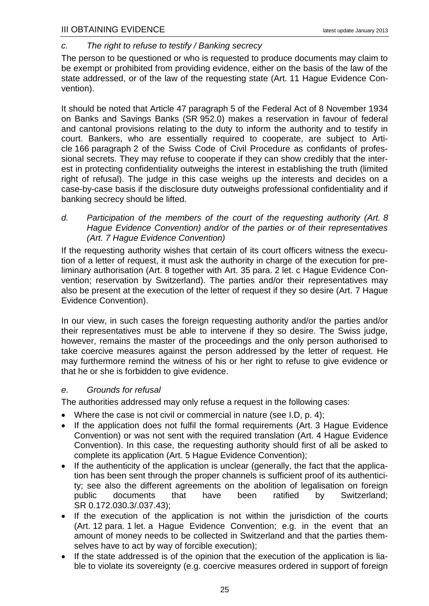# <span id="page-29-0"></span>*c. The right to refuse to testify / Banking secrecy*

The person to be questioned or who is requested to produce documents may claim to be exempt or prohibited from providing evidence, either on the basis of the law of the state addressed, or of the law of the requesting state (Art. 11 Hague Evidence Convention).

It should be noted that Article 47 paragraph 5 of the Federal Act of 8 November 1934 on Banks and Savings Banks (SR 952.0) makes a reservation in favour of federal and cantonal provisions relating to the duty to inform the authority and to testify in court. Bankers, who are essentially required to cooperate, are subject to Article 166 paragraph 2 of the Swiss Code of Civil Procedure as confidants of professional secrets. They may refuse to cooperate if they can show credibly that the interest in protecting confidentiality outweighs the interest in establishing the truth (limited right of refusal). The judge in this case weighs up the interests and decides on a case-by-case basis if the disclosure duty outweighs professional confidentiality and if banking secrecy should be lifted.

<span id="page-29-1"></span>*d. Participation of the members of the court of the requesting authority (Art. 8 Hague Evidence Convention) and/or of the parties or of their representatives (Art. 7 Hague Evidence Convention)*

If the requesting authority wishes that certain of its court officers witness the execution of a letter of request, it must ask the authority in charge of the execution for preliminary authorisation (Art. 8 together with Art. 35 para. 2 let. c Hague Evidence Convention; reservation by Switzerland). The parties and/or their representatives may also be present at the execution of the letter of request if they so desire (Art. 7 Hague Evidence Convention).

In our view, in such cases the foreign requesting authority and/or the parties and/or their representatives must be able to intervene if they so desire. The Swiss judge, however, remains the master of the proceedings and the only person authorised to take coercive measures against the person addressed by the letter of request. He may furthermore remind the witness of his or her right to refuse to give evidence or that he or she is forbidden to give evidence.

## <span id="page-29-2"></span>*e. Grounds for refusal*

The authorities addressed may only refuse a request in the following cases:

- Where the case is not civil or commercial in nature (see [I.D,](#page-8-1) p. [4\)](#page-8-1);
- If the application does not fulfil the formal requirements (Art. 3 Hague Evidence Convention) or was not sent with the required translation (Art. 4 Hague Evidence Convention). In this case, the requesting authority should first of all be asked to complete its application (Art. 5 Hague Evidence Convention);
- If the authenticity of the application is unclear (generally, the fact that the application has been sent through the proper channels is sufficient proof of its authenticity; see also the different agreements on the abolition of legalisation on foreign public documents that have been ratified by Switzerland; SR 0.172.030.3/.037.43);
- If the execution of the application is not within the jurisdiction of the courts (Art. 12 para. 1 let. a Hague Evidence Convention; e.g. in the event that an amount of money needs to be collected in Switzerland and that the parties themselves have to act by way of forcible execution);
- If the state addressed is of the opinion that the execution of the application is liable to violate its sovereignty (e.g. coercive measures ordered in support of foreign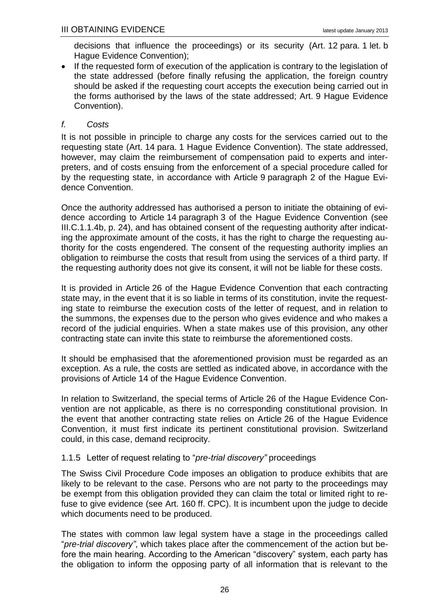decisions that influence the proceedings) or its security (Art. 12 para. 1 let. b Hague Evidence Convention);

• If the requested form of execution of the application is contrary to the legislation of the state addressed (before finally refusing the application, the foreign country should be asked if the requesting court accepts the execution being carried out in the forms authorised by the laws of the state addressed; Art. 9 Hague Evidence Convention).

## <span id="page-30-0"></span>*f. Costs*

It is not possible in principle to charge any costs for the services carried out to the requesting state (Art. 14 para. 1 Hague Evidence Convention). The state addressed, however, may claim the reimbursement of compensation paid to experts and interpreters, and of costs ensuing from the enforcement of a special procedure called for by the requesting state, in accordance with Article 9 paragraph 2 of the Hague Evidence Convention.

Once the authority addressed has authorised a person to initiate the obtaining of evidence according to Article 14 paragraph 3 of the Hague Evidence Convention (see [III.C.1.1.4b,](#page-28-2) p. [24\)](#page-28-2), and has obtained consent of the requesting authority after indicating the approximate amount of the costs, it has the right to charge the requesting authority for the costs engendered. The consent of the requesting authority implies an obligation to reimburse the costs that result from using the services of a third party. If the requesting authority does not give its consent, it will not be liable for these costs.

It is provided in Article 26 of the Hague Evidence Convention that each contracting state may, in the event that it is so liable in terms of its constitution, invite the requesting state to reimburse the execution costs of the letter of request, and in relation to the summons, the expenses due to the person who gives evidence and who makes a record of the judicial enquiries. When a state makes use of this provision, any other contracting state can invite this state to reimburse the aforementioned costs.

It should be emphasised that the aforementioned provision must be regarded as an exception. As a rule, the costs are settled as indicated above, in accordance with the provisions of Article 14 of the Hague Evidence Convention.

In relation to Switzerland, the special terms of Article 26 of the Hague Evidence Convention are not applicable, as there is no corresponding constitutional provision. In the event that another contracting state relies on Article 26 of the Hague Evidence Convention, it must first indicate its pertinent constitutional provision. Switzerland could, in this case, demand reciprocity.

## <span id="page-30-1"></span>1.1.5 Letter of request relating to "*pre-trial discovery"* proceedings

The Swiss Civil Procedure Code imposes an obligation to produce exhibits that are likely to be relevant to the case. Persons who are not party to the proceedings may be exempt from this obligation provided they can claim the total or limited right to refuse to give evidence (see Art. 160 ff. CPC). It is incumbent upon the judge to decide which documents need to be produced.

The states with common law legal system have a stage in the proceedings called "*pre-trial discovery"*, which takes place after the commencement of the action but before the main hearing. According to the American "discovery" system, each party has the obligation to inform the opposing party of all information that is relevant to the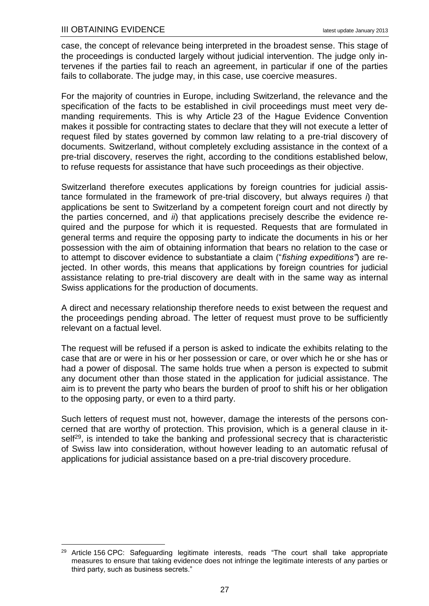1

case, the concept of relevance being interpreted in the broadest sense. This stage of the proceedings is conducted largely without judicial intervention. The judge only intervenes if the parties fail to reach an agreement, in particular if one of the parties fails to collaborate. The judge may, in this case, use coercive measures.

For the majority of countries in Europe, including Switzerland, the relevance and the specification of the facts to be established in civil proceedings must meet very demanding requirements. This is why Article 23 of the Hague Evidence Convention makes it possible for contracting states to declare that they will not execute a letter of request filed by states governed by common law relating to a pre-trial discovery of documents. Switzerland, without completely excluding assistance in the context of a pre-trial discovery, reserves the right, according to the conditions established below, to refuse requests for assistance that have such proceedings as their objective.

Switzerland therefore executes applications by foreign countries for judicial assistance formulated in the framework of pre-trial discovery, but always requires *i*) that applications be sent to Switzerland by a competent foreign court and not directly by the parties concerned, and *ii*) that applications precisely describe the evidence required and the purpose for which it is requested. Requests that are formulated in general terms and require the opposing party to indicate the documents in his or her possession with the aim of obtaining information that bears no relation to the case or to attempt to discover evidence to substantiate a claim ("*fishing expeditions"*) are rejected. In other words, this means that applications by foreign countries for judicial assistance relating to pre-trial discovery are dealt with in the same way as internal Swiss applications for the production of documents.

A direct and necessary relationship therefore needs to exist between the request and the proceedings pending abroad. The letter of request must prove to be sufficiently relevant on a factual level.

The request will be refused if a person is asked to indicate the exhibits relating to the case that are or were in his or her possession or care, or over which he or she has or had a power of disposal. The same holds true when a person is expected to submit any document other than those stated in the application for judicial assistance. The aim is to prevent the party who bears the burden of proof to shift his or her obligation to the opposing party, or even to a third party.

Such letters of request must not, however, damage the interests of the persons concerned that are worthy of protection. This provision, which is a general clause in itself<sup>29</sup>, is intended to take the banking and professional secrecy that is characteristic of Swiss law into consideration, without however leading to an automatic refusal of applications for judicial assistance based on a pre-trial discovery procedure.

<sup>&</sup>lt;sup>29</sup> Article 156 CPC: Safeguarding legitimate interests, reads "The court shall take appropriate measures to ensure that taking evidence does not infringe the legitimate interests of any parties or third party, such as business secrets."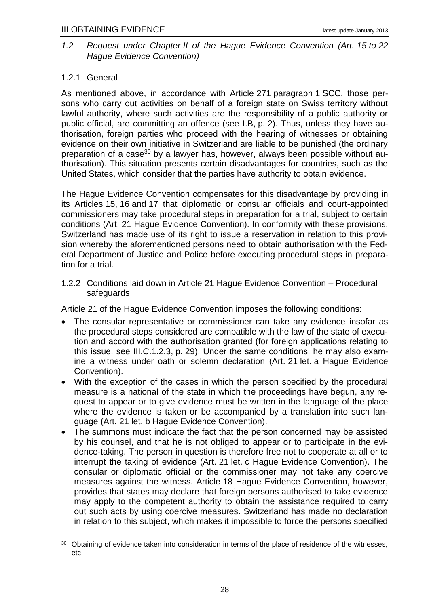## <span id="page-32-0"></span>*1.2 Request under Chapter II of the Hague Evidence Convention (Art. 15 to 22 Hague Evidence Convention)*

# <span id="page-32-1"></span>1.2.1 General

As mentioned above, in accordance with Article 271 paragraph 1 SCC, those persons who carry out activities on behalf of a foreign state on Swiss territory without lawful authority, where such activities are the responsibility of a public authority or public official, are committing an offence (see [I.B,](#page-6-0) p. [2\)](#page-6-0). Thus, unless they have authorisation, foreign parties who proceed with the hearing of witnesses or obtaining evidence on their own initiative in Switzerland are liable to be punished (the ordinary preparation of a case<sup>30</sup> by a lawyer has, however, always been possible without authorisation). This situation presents certain disadvantages for countries, such as the United States, which consider that the parties have authority to obtain evidence.

The Hague Evidence Convention compensates for this disadvantage by providing in its Articles 15, 16 and 17 that diplomatic or consular officials and court-appointed commissioners may take procedural steps in preparation for a trial, subject to certain conditions (Art. 21 Hague Evidence Convention). In conformity with these provisions, Switzerland has made use of its right to issue a reservation in relation to this provision whereby the aforementioned persons need to obtain authorisation with the Federal Department of Justice and Police before executing procedural steps in preparation for a trial.

<span id="page-32-2"></span>1.2.2 Conditions laid down in Article 21 Hague Evidence Convention – Procedural safeguards

Article 21 of the Hague Evidence Convention imposes the following conditions:

- The consular representative or commissioner can take any evidence insofar as the procedural steps considered are compatible with the law of the state of execution and accord with the authorisation granted (for foreign applications relating to this issue, see [III.C.1.2.3,](#page-33-0) p. [29\)](#page-33-0). Under the same conditions, he may also examine a witness under oath or solemn declaration (Art. 21 let. a Hague Evidence Convention).
- With the exception of the cases in which the person specified by the procedural measure is a national of the state in which the proceedings have begun, any request to appear or to give evidence must be written in the language of the place where the evidence is taken or be accompanied by a translation into such language (Art. 21 let. b Hague Evidence Convention).
- The summons must indicate the fact that the person concerned may be assisted by his counsel, and that he is not obliged to appear or to participate in the evidence-taking. The person in question is therefore free not to cooperate at all or to interrupt the taking of evidence (Art. 21 let. c Hague Evidence Convention). The consular or diplomatic official or the commissioner may not take any coercive measures against the witness. Article 18 Hague Evidence Convention, however, provides that states may declare that foreign persons authorised to take evidence may apply to the competent authority to obtain the assistance required to carry out such acts by using coercive measures. Switzerland has made no declaration in relation to this subject, which makes it impossible to force the persons specified

<sup>1</sup> 30 Obtaining of evidence taken into consideration in terms of the place of residence of the witnesses, etc.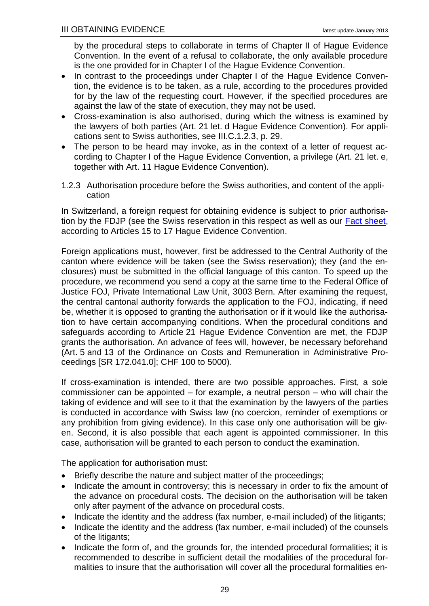by the procedural steps to collaborate in terms of Chapter II of Hague Evidence Convention. In the event of a refusal to collaborate, the only available procedure is the one provided for in Chapter I of the Hague Evidence Convention.

- In contrast to the proceedings under Chapter I of the Hague Evidence Convention, the evidence is to be taken, as a rule, according to the procedures provided for by the law of the requesting court. However, if the specified procedures are against the law of the state of execution, they may not be used.
- Cross-examination is also authorised, during which the witness is examined by the lawyers of both parties (Art. 21 let. d Hague Evidence Convention). For applications sent to Swiss authorities, see [III.C.1.2.3,](#page-33-0) p. [29.](#page-33-0)
- The person to be heard may invoke, as in the context of a letter of request according to Chapter I of the Hague Evidence Convention, a privilege (Art. 21 let. e, together with Art. 11 Hague Evidence Convention).
- <span id="page-33-0"></span>1.2.3 Authorisation procedure before the Swiss authorities, and content of the application

In Switzerland, a foreign request for obtaining evidence is subject to prior authorisa-tion by the FDJP (see the Swiss reservation in this respect as well as our [Fact sheet,](http://www.rhf.admin.ch/dam/data/rhf/zivilrecht/wegleitungen/mb-beweiserhebung-commissioners-e.pdf) according to Articles 15 to 17 Hague Evidence Convention.

Foreign applications must, however, first be addressed to the Central Authority of the canton where evidence will be taken (see the Swiss reservation); they (and the enclosures) must be submitted in the official language of this canton. To speed up the procedure, we recommend you send a copy at the same time to the Federal Office of Justice FOJ, Private International Law Unit, 3003 Bern. After examining the request, the central cantonal authority forwards the application to the FOJ, indicating, if need be, whether it is opposed to granting the authorisation or if it would like the authorisation to have certain accompanying conditions. When the procedural conditions and safeguards according to Article 21 Hague Evidence Convention are met, the FDJP grants the authorisation. An advance of fees will, however, be necessary beforehand (Art. 5 and 13 of the Ordinance on Costs and Remuneration in Administrative Proceedings [SR 172.041.0]; CHF 100 to 5000).

If cross-examination is intended, there are two possible approaches. First, a sole commissioner can be appointed – for example, a neutral person – who will chair the taking of evidence and will see to it that the examination by the lawyers of the parties is conducted in accordance with Swiss law (no coercion, reminder of exemptions or any prohibition from giving evidence). In this case only one authorisation will be given. Second, it is also possible that each agent is appointed commissioner. In this case, authorisation will be granted to each person to conduct the examination.

The application for authorisation must:

- Briefly describe the nature and subject matter of the proceedings;
- Indicate the amount in controversy; this is necessary in order to fix the amount of the advance on procedural costs. The decision on the authorisation will be taken only after payment of the advance on procedural costs.
- Indicate the identity and the address (fax number, e-mail included) of the litigants;
- Indicate the identity and the address (fax number, e-mail included) of the counsels of the litigants;
- Indicate the form of, and the grounds for, the intended procedural formalities; it is recommended to describe in sufficient detail the modalities of the procedural formalities to insure that the authorisation will cover all the procedural formalities en-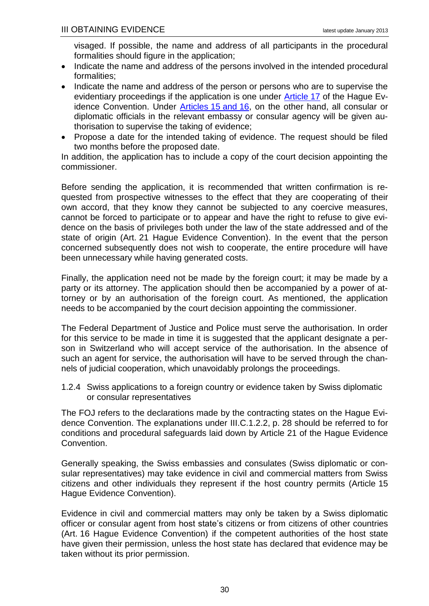visaged. If possible, the name and address of all participants in the procedural formalities should figure in the application;

- Indicate the name and address of the persons involved in the intended procedural formalities;
- Indicate the name and address of the person or persons who are to supervise the evidentiary proceedings if the application is one under [Article](http://hcch.e-vision.nl/index_en.php?act=conventions.text&cid=82) 17 of the Hague Evidence Convention. Under [Articles](http://hcch.e-vision.nl/index_en.php?act=conventions.text&cid=82) 15 and 16, on the other hand, all consular or diplomatic officials in the relevant embassy or consular agency will be given authorisation to supervise the taking of evidence;
- Propose a date for the intended taking of evidence. The request should be filed two months before the proposed date.

In addition, the application has to include a copy of the court decision appointing the commissioner.

Before sending the application, it is recommended that written confirmation is requested from prospective witnesses to the effect that they are cooperating of their own accord, that they know they cannot be subjected to any coercive measures, cannot be forced to participate or to appear and have the right to refuse to give evidence on the basis of privileges both under the law of the state addressed and of the state of origin (Art. 21 Hague Evidence Convention). In the event that the person concerned subsequently does not wish to cooperate, the entire procedure will have been unnecessary while having generated costs.

Finally, the application need not be made by the foreign court; it may be made by a party or its attorney. The application should then be accompanied by a power of attorney or by an authorisation of the foreign court. As mentioned, the application needs to be accompanied by the court decision appointing the commissioner.

The Federal Department of Justice and Police must serve the authorisation. In order for this service to be made in time it is suggested that the applicant designate a person in Switzerland who will accept service of the authorisation. In the absence of such an agent for service, the authorisation will have to be served through the channels of judicial cooperation, which unavoidably prolongs the proceedings.

<span id="page-34-0"></span>1.2.4 Swiss applications to a foreign country or evidence taken by Swiss diplomatic or consular representatives

The FOJ refers to the declarations made by the contracting states on the Hague Evidence Convention. The explanations under [III.C.1.2.2,](#page-32-2) p. [28](#page-32-2) should be referred to for conditions and procedural safeguards laid down by Article 21 of the Hague Evidence Convention.

Generally speaking, the Swiss embassies and consulates (Swiss diplomatic or consular representatives) may take evidence in civil and commercial matters from Swiss citizens and other individuals they represent if the host country permits (Article 15 Hague Evidence Convention).

Evidence in civil and commercial matters may only be taken by a Swiss diplomatic officer or consular agent from host state's citizens or from citizens of other countries (Art. 16 Hague Evidence Convention) if the competent authorities of the host state have given their permission, unless the host state has declared that evidence may be taken without its prior permission.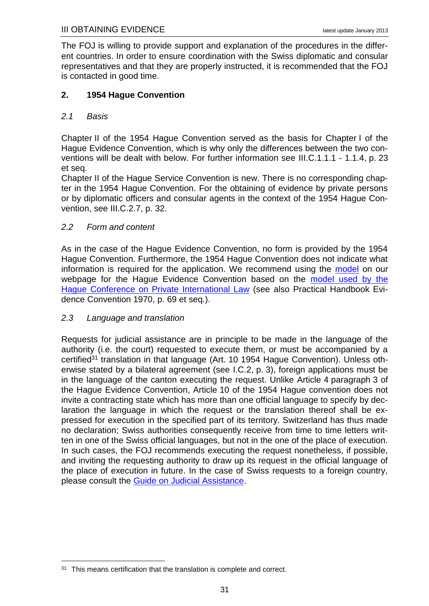The FOJ is willing to provide support and explanation of the procedures in the different countries. In order to ensure coordination with the Swiss diplomatic and consular representatives and that they are properly instructed, it is recommended that the FOJ is contacted in good time.

## <span id="page-35-0"></span>**2. 1954 Hague Convention**

## <span id="page-35-1"></span>*2.1 Basis*

Chapter II of the 1954 Hague Convention served as the basis for Chapter I of the Hague Evidence Convention, which is why only the differences between the two conventions will be dealt with below. For further information see [III.C.1.1.1](#page-27-4) - [1.1.4,](#page-28-0) p. [23](#page-27-3) et seq.

Chapter II of the Hague Service Convention is new. There is no corresponding chapter in the 1954 Hague Convention. For the obtaining of evidence by private persons or by diplomatic officers and consular agents in the context of the 1954 Hague Convention, see [III.C.2.7,](#page-36-3) p. [32.](#page-36-3)

## <span id="page-35-2"></span>*2.2 Form and content*

As in the case of the Hague Evidence Convention, no form is provided by the 1954 Hague Convention. Furthermore, the 1954 Hague Convention does not indicate what information is required for the application. We recommend using the [model](http://www.rhf.admin.ch/dam/data/rhf/rechtshilfefuehrer/muster/muster-ersuchen-hue54-f.pdf) on our webpage for the Hague Evidence Convention based on the [model used by](http://www.rhf.admin.ch/dam/data/rhf/rechtshilfefuehrer/muster/muster-ersuchen-hbewue70-f-e.doc) the [Hague Conference on Private International Law](http://www.rhf.admin.ch/dam/data/rhf/rechtshilfefuehrer/muster/muster-ersuchen-hbewue70-f-e.doc) (see also Practical Handbook Evidence Convention 1970, p. 69 et seq.).

## <span id="page-35-3"></span>*2.3 Language and translation*

<u>.</u>

Requests for judicial assistance are in principle to be made in the language of the authority (i.e. the court) requested to execute them, or must be accompanied by a certified<sup>31</sup> translation in that language (Art. 10 1954 Hague Convention). Unless otherwise stated by a bilateral agreement (see [I.C.2,](#page-7-0) p. [3\)](#page-7-0), foreign applications must be in the language of the canton executing the request. Unlike Article 4 paragraph 3 of the Hague Evidence Convention, Article 10 of the 1954 Hague convention does not invite a contracting state which has more than one official language to specify by declaration the language in which the request or the translation thereof shall be expressed for execution in the specified part of its territory. Switzerland has thus made no declaration; Swiss authorities consequently receive from time to time letters written in one of the Swiss official languages, but not in the one of the place of execution. In such cases, the FOJ recommends executing the request nonetheless, if possible, and inviting the requesting authority to draw up its request in the official language of the place of execution in future. In the case of Swiss requests to a foreign country, please consult the [Guide on Judicial Assistance.](http://www.rhf.admin.ch/rhf/fr/home/rechtshilfefuehrer.html)

<sup>&</sup>lt;sup>31</sup> This means certification that the translation is complete and correct.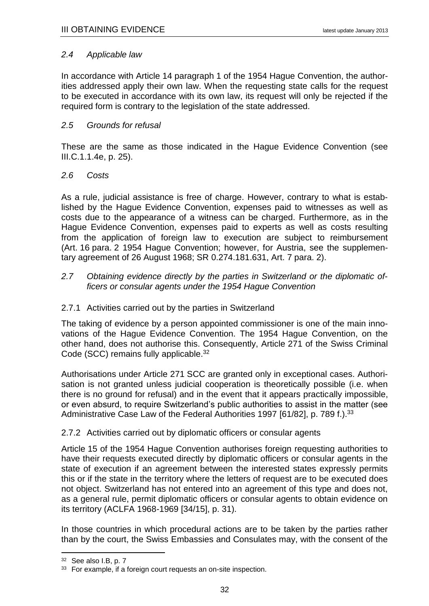#### <span id="page-36-0"></span>*2.4 Applicable law*

In accordance with Article 14 paragraph 1 of the 1954 Hague Convention, the authorities addressed apply their own law. When the requesting state calls for the request to be executed in accordance with its own law, its request will only be rejected if the required form is contrary to the legislation of the state addressed.

#### <span id="page-36-1"></span>*2.5 Grounds for refusal*

These are the same as those indicated in the Hague Evidence Convention (see [III.C.1.1.4e,](#page-29-2) p. [25\)](#page-29-2).

#### <span id="page-36-2"></span>*2.6 Costs*

As a rule, judicial assistance is free of charge. However, contrary to what is established by the Hague Evidence Convention, expenses paid to witnesses as well as costs due to the appearance of a witness can be charged. Furthermore, as in the Hague Evidence Convention, expenses paid to experts as well as costs resulting from the application of foreign law to execution are subject to reimbursement (Art. 16 para. 2 1954 Hague Convention; however, for Austria, see the supplementary agreement of 26 August 1968; SR 0.274.181.631, Art. 7 para. 2).

<span id="page-36-3"></span>*2.7 Obtaining evidence directly by the parties in Switzerland or the diplomatic officers or consular agents under the 1954 Hague Convention*

#### <span id="page-36-4"></span>2.7.1 Activities carried out by the parties in Switzerland

The taking of evidence by a person appointed commissioner is one of the main innovations of the Hague Evidence Convention. The 1954 Hague Convention, on the other hand, does not authorise this. Consequently, Article 271 of the Swiss Criminal Code (SCC) remains fully applicable.<sup>32</sup>

Authorisations under Article 271 SCC are granted only in exceptional cases. Authorisation is not granted unless judicial cooperation is theoretically possible (i.e. when there is no ground for refusal) and in the event that it appears practically impossible, or even absurd, to require Switzerland's public authorities to assist in the matter (see Administrative Case Law of the Federal Authorities 1997 [61/82], p. 789 f.).<sup>33</sup>

## <span id="page-36-5"></span>2.7.2 Activities carried out by diplomatic officers or consular agents

Article 15 of the 1954 Hague Convention authorises foreign requesting authorities to have their requests executed directly by diplomatic officers or consular agents in the state of execution if an agreement between the interested states expressly permits this or if the state in the territory where the letters of request are to be executed does not object. Switzerland has not entered into an agreement of this type and does not, as a general rule, permit diplomatic officers or consular agents to obtain evidence on its territory (ACLFA 1968-1969 [34/15], p. 31).

In those countries in which procedural actions are to be taken by the parties rather than by the court, the Swiss Embassies and Consulates may, with the consent of the

<u>.</u>

<sup>32</sup> See also [I.B,](#page-6-0) p. [7](#page-6-0)

<sup>&</sup>lt;sup>33</sup> For example, if a foreign court requests an on-site inspection.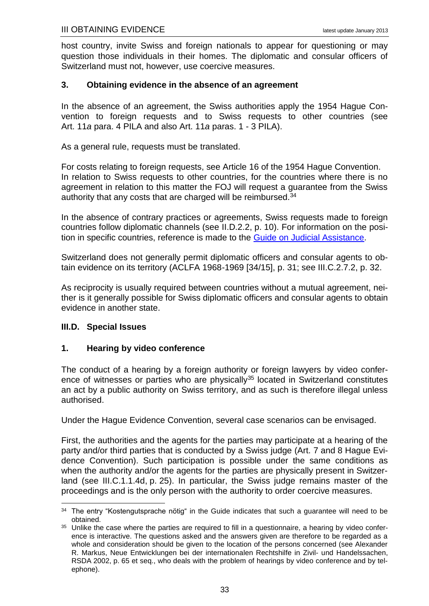host country, invite Swiss and foreign nationals to appear for questioning or may question those individuals in their homes. The diplomatic and consular officers of Switzerland must not, however, use coercive measures.

#### <span id="page-37-0"></span>**3. Obtaining evidence in the absence of an agreement**

In the absence of an agreement, the Swiss authorities apply the 1954 Hague Convention to foreign requests and to Swiss requests to other countries (see Art. 11*a* para. 4 PILA and also Art. 11*a* paras. 1 - 3 PILA).

As a general rule, requests must be translated.

For costs relating to foreign requests, see Article 16 of the 1954 Hague Convention. In relation to Swiss requests to other countries, for the countries where there is no agreement in relation to this matter the FOJ will request a guarantee from the Swiss authority that any costs that are charged will be reimbursed.<sup>34</sup>

In the absence of contrary practices or agreements, Swiss requests made to foreign countries follow diplomatic channels (see [II.D.2.2,](#page-14-3) p. [10\)](#page-14-3). For information on the position in specific countries, reference is made to the [Guide on Judicial Assistance.](http://www.rhf.admin.ch/rhf/fr/home/rechtshilfefuehrer.html)

Switzerland does not generally permit diplomatic officers and consular agents to obtain evidence on its territory (ACLFA 1968-1969 [34/15], p. 31; see [III.C.2.7.2,](#page-36-5) p. [32.](#page-36-5)

As reciprocity is usually required between countries without a mutual agreement, neither is it generally possible for Swiss diplomatic officers and consular agents to obtain evidence in another state.

#### <span id="page-37-1"></span>**III.D. Special Issues**

<u>.</u>

#### <span id="page-37-2"></span>**1. Hearing by video conference**

The conduct of a hearing by a foreign authority or foreign lawyers by video conference of witnesses or parties who are physically<sup>35</sup> located in Switzerland constitutes an act by a public authority on Swiss territory, and as such is therefore illegal unless authorised.

Under the Hague Evidence Convention, several case scenarios can be envisaged.

First, the authorities and the agents for the parties may participate at a hearing of the party and/or third parties that is conducted by a Swiss judge (Art. 7 and 8 Hague Evidence Convention). Such participation is possible under the same conditions as when the authority and/or the agents for the parties are physically present in Switzerland (see [III.C.1.1.4d,](#page-29-1) p. [25\)](#page-29-1). In particular, the Swiss judge remains master of the proceedings and is the only person with the authority to order coercive measures.

 $34$  The entry "Kostengutsprache nötig" in the Guide indicates that such a guarantee will need to be obtained.

<sup>&</sup>lt;sup>35</sup> Unlike the case where the parties are required to fill in a questionnaire, a hearing by video conference is interactive. The questions asked and the answers given are therefore to be regarded as a whole and consideration should be given to the location of the persons concerned (see Alexander R. Markus, Neue Entwicklungen bei der internationalen Rechtshilfe in Zivil- und Handelssachen, RSDA 2002, p. 65 et seq., who deals with the problem of hearings by video conference and by telephone).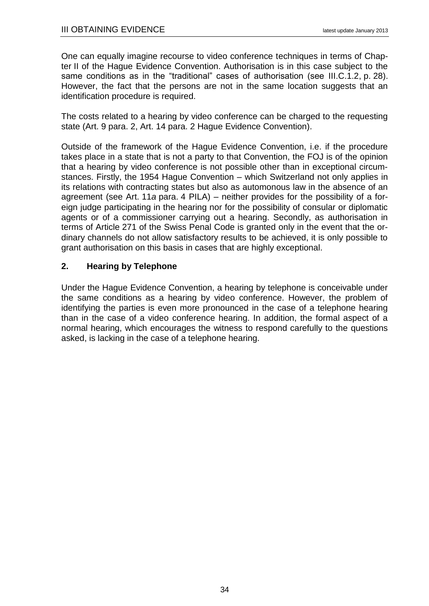One can equally imagine recourse to video conference techniques in terms of Chapter II of the Hague Evidence Convention. Authorisation is in this case subject to the same conditions as in the "traditional" cases of authorisation (see [III.C.1.2,](#page-32-0) p. [28\)](#page-32-0). However, the fact that the persons are not in the same location suggests that an identification procedure is required.

The costs related to a hearing by video conference can be charged to the requesting state (Art. 9 para. 2, Art. 14 para. 2 Hague Evidence Convention).

Outside of the framework of the Hague Evidence Convention, i.e. if the procedure takes place in a state that is not a party to that Convention, the FOJ is of the opinion that a hearing by video conference is not possible other than in exceptional circumstances. Firstly, the 1954 Hague Convention – which Switzerland not only applies in its relations with contracting states but also as automonous law in the absence of an agreement (see Art. 11*a* para. 4 PILA) – neither provides for the possibility of a foreign judge participating in the hearing nor for the possibility of consular or diplomatic agents or of a commissioner carrying out a hearing. Secondly, as authorisation in terms of Article 271 of the Swiss Penal Code is granted only in the event that the ordinary channels do not allow satisfactory results to be achieved, it is only possible to grant authorisation on this basis in cases that are highly exceptional.

## <span id="page-38-0"></span>**2. Hearing by Telephone**

Under the Hague Evidence Convention, a hearing by telephone is conceivable under the same conditions as a hearing by video conference. However, the problem of identifying the parties is even more pronounced in the case of a telephone hearing than in the case of a video conference hearing. In addition, the formal aspect of a normal hearing, which encourages the witness to respond carefully to the questions asked, is lacking in the case of a telephone hearing.